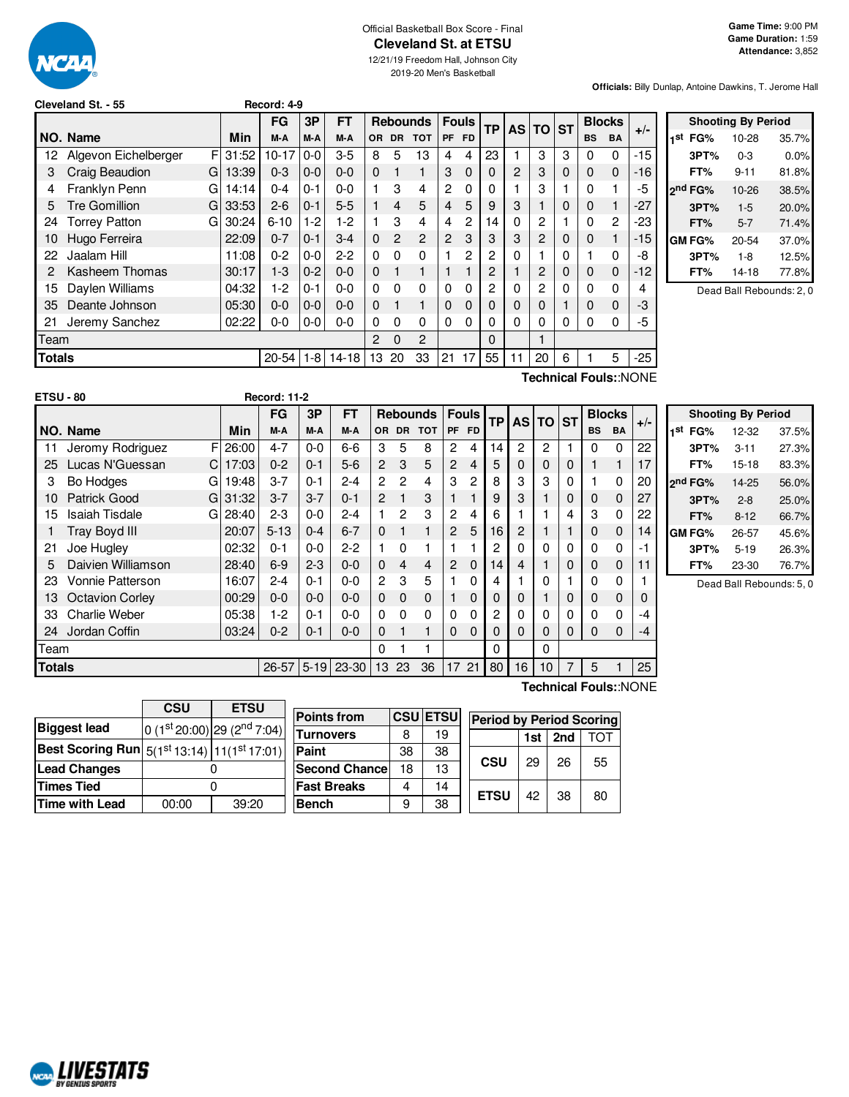

### Official Basketball Box Score - Final **Cleveland St. at ETSU**

12/21/19 Freedom Hall, Johnson City 2019-20 Men's Basketball

**Officials:** Billy Dunlap, Antoine Dawkins, T. Jerome Hall

| Cleveland St. - 55 |  |  |  |
|--------------------|--|--|--|
|--------------------|--|--|--|

|               |                           |            | FG        | 3P      | FТ        |               |                | <b>Rebounds</b> |                | <b>Fouls</b>   | <b>TP</b> | <b>AS TO</b> |    | <b>ST</b>   | <b>Blocks</b> |              |       |
|---------------|---------------------------|------------|-----------|---------|-----------|---------------|----------------|-----------------|----------------|----------------|-----------|--------------|----|-------------|---------------|--------------|-------|
|               | NO. Name                  | <b>Min</b> | M-A       | M-A     | M-A       | <b>OR</b>     | <b>DR</b>      | <b>TOT</b>      | <b>PF</b>      | <b>FD</b>      |           |              |    |             | <b>BS</b>     | <b>BA</b>    | $+/-$ |
| 12            | F<br>Algevon Eichelberger | 31:52      | $10 - 17$ | $0-0$   | $3-5$     | 8             | 5              | 13              | 4              | 4              | 23        |              | 3  | 3           | 0             | 0            | $-15$ |
|               | Craig Beaudion<br>G       | 13:39      | $0 - 3$   | $0-0$   | $0 - 0$   | $\Omega$      | 1              | 1               | 3              | 0              | 0         | 2            | 3  | $\mathbf 0$ | $\Omega$      | $\mathbf 0$  | $-16$ |
| 4             | Franklyn Penn<br>G        | 14:14      | $0 - 4$   | $0 - 1$ | $0 - 0$   |               | 3              | $\overline{4}$  | $\overline{c}$ | 0              | 0         |              | 3  |             | 0             |              | -5    |
| 5             | <b>Tre Gomillion</b><br>G | 33:53      | $2 - 6$   | 0-1     | $5 - 5$   |               | $\overline{4}$ | 5               | 4              | 5              | 9         | 3            |    | 0           | 0             | $\mathbf{1}$ | $-27$ |
| 24            | <b>Torrey Patton</b><br>G | 30:24      | $6 - 10$  | $1-2$   | 1-2       |               | 3              | 4               | 4              | $\overline{c}$ | 14        | 0            | 2  |             | 0             | 2            | -23   |
| 10            | Hugo Ferreira             | 22:09      | $0 - 7$   | $0 - 1$ | $3 - 4$   | $\Omega$      | $\overline{2}$ | $\overline{2}$  | 2              | 3              | 3         | 3            | 2  | 0           | 0             | $\mathbf{1}$ | -15   |
| 22            | Jaalam Hill               | 11:08      | $0 - 2$   | $0 - 0$ | $2 - 2$   | $\Omega$      | $\Omega$       | $\Omega$        |                | 2              | 2         | 0            |    | $\Omega$    |               | $\Omega$     | -8    |
| 2             | Kasheem Thomas            | 30:17      | $1-3$     | $0 - 2$ | $0 - 0$   | $\Omega$      |                | 1               |                |                | 2         |              | 2  | 0           | 0             | 0            | $-12$ |
| 15            | Daylen Williams           | 04:32      | 1-2       | $0 - 1$ | $0 - 0$   | 0             | 0              | $\Omega$        | $\Omega$       | 0              | 2         | 0            | 2  | $\Omega$    | 0             | $\Omega$     | 4     |
| 35            | Deante Johnson            | 05:30      | $0 - 0$   | $0-0$   | $0 - 0$   | $\Omega$      |                | 1               | $\Omega$       | 0              | O         | 0            | 0  |             | 0             | $\mathbf 0$  | -3    |
| 21            | Jeremy Sanchez            | 02:22      | $0-0$     | $0-0$   | $0-0$     | 0             | 0              | $\Omega$        | 0              | 0              | 0         | 0            | 0  | 0           | 0             | 0            | -5    |
| Team          |                           |            |           |         |           | $\mathcal{P}$ | $\Omega$       | $\overline{2}$  |                |                | 0         |              |    |             |               |              |       |
| <b>Totals</b> |                           |            | $20 - 54$ | $1-8$   | $14 - 18$ | 13            | 20             | 33              | 21             | 17             | 55        | 11           | 20 | 6           |               | 5            | $-25$ |
|               |                           |            |           |         |           |               |                |                 |                |                |           |              |    |             |               |              |       |

**Cleveland St. - 55 Record: 4-9**

**Shooting By Period 1 st FG%** 10-28 35.7% **3PT%** 0-3 0.0% **FT%** 9-11 81.8% **2 nd FG%** 10-26 38.5% **3PT%** 1-5 20.0% **FT%** 5-7 71.4% **GM FG%** 20-54 37.0% **3PT%** 1-8 12.5% **FT%** 14-18 77.8%

Dead Ball Rebounds: 2, 0

|                  |                        |     |             |                     |         |           |                |             |                 |                |              |           |                |       |             |              |               | Technical Fouls::NONE |                     |                           |       |
|------------------|------------------------|-----|-------------|---------------------|---------|-----------|----------------|-------------|-----------------|----------------|--------------|-----------|----------------|-------|-------------|--------------|---------------|-----------------------|---------------------|---------------------------|-------|
| <b>ETSU - 80</b> |                        |     |             | <b>Record: 11-2</b> |         |           |                |             |                 |                |              |           |                |       |             |              |               |                       |                     |                           |       |
|                  |                        |     |             | <b>FG</b>           | 3P      | <b>FT</b> |                |             | <b>Rebounds</b> |                | <b>Fouls</b> | <b>TP</b> |                | AS TO | <b>ST</b>   |              | <b>Blocks</b> |                       |                     | <b>Shooting By Period</b> |       |
|                  | NO. Name               |     | Min         | M-A                 | M-A     | M-A       | <b>OR</b>      |             | DR TOT          |                | PF FD        |           |                |       |             | <b>BS</b>    | <b>BA</b>     | $+/-$                 | 1 <sup>st</sup> FG% | 12-32                     | 37.5% |
| 11               | Jeromy Rodriguez       |     | $F$   26:00 | $4 - 7$             | $0-0$   | $6-6$     | 3              | 5           | 8               | 2              | 4            | 14        | $\overline{2}$ | 2     |             | 0            | 0             | 22                    | 3PT%                | $3 - 11$                  | 27.3% |
| 25               | Lucas N'Guessan        | C I | 17:03       | $0 - 2$             | $0 - 1$ | $5-6$     | $\overline{2}$ | 3           | 5               | $\overline{2}$ | 4            | 5         | 0              | 0     | $\mathbf 0$ |              |               | 17                    | FT%                 | $15 - 18$                 | 83.3% |
| 3                | Bo Hodges              | G   | 19:48       | $3 - 7$             | $0 - 1$ | $2 - 4$   | 2              | 2           | 4               | 3              | 2            | 8         | 3              | 3     | 0           |              | 0             | 20                    | 2 <sup>nd</sup> FG% | $14 - 25$                 | 56.0% |
| 10               | <b>Patrick Good</b>    |     | $G$   31:32 | $3 - 7$             | $3 - 7$ | $0 - 1$   | 2              |             | 3               |                |              | 9         | 3              |       | 0           | 0            | 0             | 27                    | 3PT%                | $2 - 8$                   | 25.0% |
| 15               | <b>Isaiah Tisdale</b>  |     | G $28:40$   | $2 - 3$             | $0-0$   | $2 - 4$   |                | 2           | 3               | $\overline{2}$ | 4            | 6         |                |       | 4           | 3            | 0             | 22                    | FT%                 | $8 - 12$                  | 66.7% |
|                  | Tray Boyd III          |     | 20:07       | $5 - 13$            | $0 - 4$ | $6 - 7$   | 0              |             |                 | $\mathbf{2}$   | 5            | 16        | 2              |       |             | $\mathbf{0}$ | 0             | 14                    | <b>GM FG%</b>       | 26-57                     | 45.6% |
| 21               | Joe Hugley             |     | 02:32       | $0 - 1$             | $0-0$   | $2 - 2$   |                | 0           |                 |                |              | 2         |                | 0     | 0           | $\Omega$     | 0             | - 1                   | 3PT%                | $5 - 19$                  | 26.3% |
| 5.               | Daivien Williamson     |     | 28:40       | $6-9$               | $2 - 3$ | $0 - 0$   | $\mathbf{0}$   | 4           | 4               | $\overline{2}$ | $\Omega$     | 14        | 4              |       | $\mathbf 0$ | $\mathbf{0}$ | 0             |                       | FT%                 | 23-30                     | 76.7% |
| 23               | Vonnie Patterson       |     | 16:07       | $2 - 4$             | $0 - 1$ | $0 - 0$   | $\overline{2}$ | 3           | 5               |                | $\mathbf 0$  | 4         |                | 0     |             | 0            | 0             |                       |                     | Dead Ball Rebounds: 5.0   |       |
| 13               | <b>Octavion Corley</b> |     | 00:29       | $0 - 0$             | $0-0$   | $0 - 0$   | $\mathbf{0}$   | $\mathbf 0$ | $\Omega$        |                | $\mathbf 0$  |           | 0              |       | 0           | 0            | 0             | 0                     |                     |                           |       |
| 33               | <b>Charlie Weber</b>   |     | 05:38       | $1-2$               | $0 - 1$ | $0 - 0$   | 0              | 0           | $\Omega$        | 0              | 0            | 2         | 0              | 0     | 0           | 0            | 0             | -4                    |                     |                           |       |
| 24               | Jordan Coffin          |     | 03:24       | $0 - 2$             | $0 - 1$ | $0 - 0$   | 0              |             |                 | 0              | $\Omega$     | 0         | 0              | 0     | 0           | 0            | 0             | -4                    |                     |                           |       |
| Team             |                        |     |             |                     |         |           | 0              |             |                 |                |              | 0         |                |       |             |              |               |                       |                     |                           |       |

**Totals** 26-67 5-19 23-30 13 23 36 17 21 **80 16 10 7 5 1 25 Technical Fouls:**:NONE

|                                                             | <b>CSU</b> | <b>ETSU</b>                     |  |  |  |  |
|-------------------------------------------------------------|------------|---------------------------------|--|--|--|--|
| <b>Biggest lead</b>                                         |            | 0 $(1st 20:00)$ 29 $(2nd 7:04)$ |  |  |  |  |
| Best Scoring Run $ 5(1^{\rm st}13:14) 11(1^{\rm st}17:01) $ |            |                                 |  |  |  |  |
| <b>Lead Changes</b>                                         |            |                                 |  |  |  |  |
| <b>Times Tied</b>                                           |            |                                 |  |  |  |  |
| <b>Time with Lead</b>                                       | 00:00      | 39:20                           |  |  |  |  |

| <b>Points from</b>    |    | <b>CSU ETSU</b> |  | <b>Period by Period Scoring</b> |     |     |     |
|-----------------------|----|-----------------|--|---------------------------------|-----|-----|-----|
| Turnovers             |    | 19              |  |                                 | 1st | 2nd | TOT |
| Paint                 | 38 | 38              |  | CSU                             |     |     |     |
| <b>Second Chancel</b> | 18 | 13              |  |                                 | 29  | 26  | 55  |
| <b>Fast Breaks</b>    |    | 14              |  |                                 | 42  |     |     |
| Bench                 |    | 38              |  | <b>ETSU</b>                     |     | 38  | 80  |

**NORMALIVESTATS**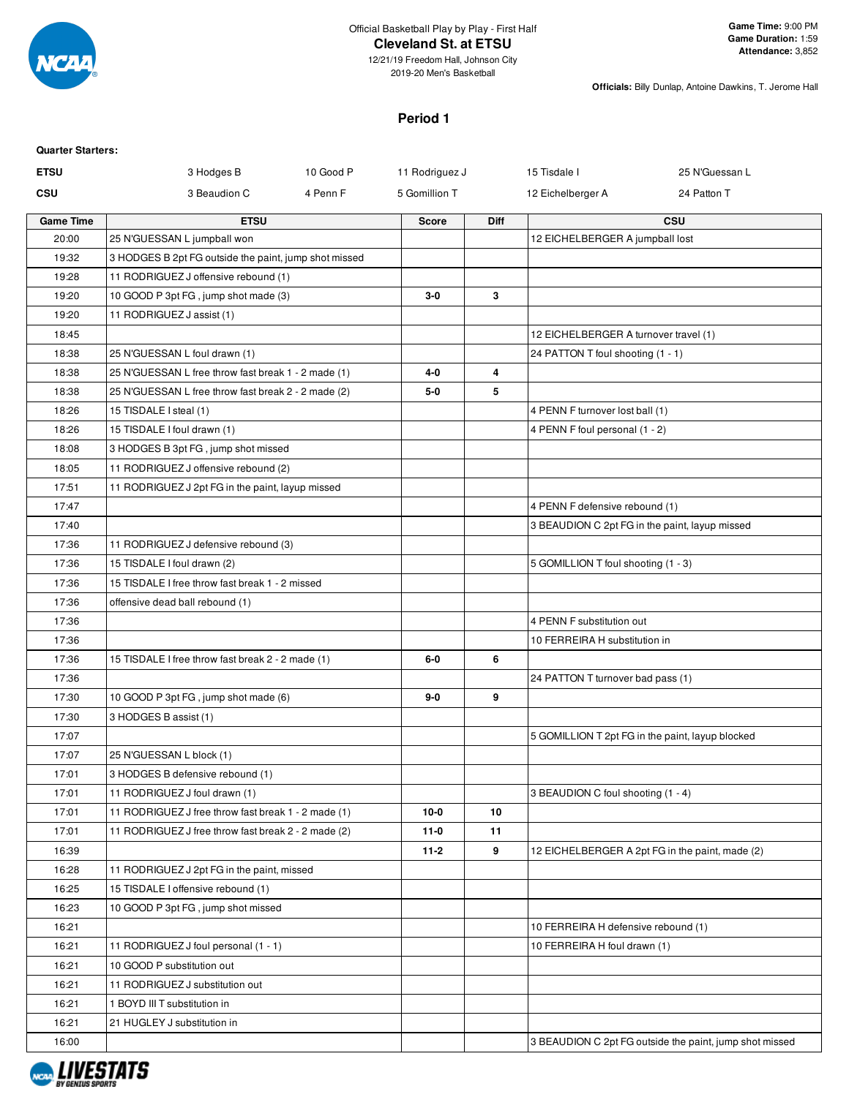

**Officials:** Billy Dunlap, Antoine Dawkins, T. Jerome Hall

## **Period 1**

| <b>Quarter Starters:</b> |                                                       |                             |      |                                       |                                                         |
|--------------------------|-------------------------------------------------------|-----------------------------|------|---------------------------------------|---------------------------------------------------------|
| <b>ETSU</b>              | 3 Hodges B                                            | 10 Good P<br>11 Rodriguez J |      | 15 Tisdale I                          | 25 N'Guessan L                                          |
| <b>CSU</b>               | 3 Beaudion C<br>4 Penn F                              | 5 Gomillion T               |      | 12 Eichelberger A                     | 24 Patton T                                             |
| <b>Game Time</b>         | <b>ETSU</b>                                           | <b>Score</b>                | Diff |                                       | CSU                                                     |
| 20:00                    | 25 N'GUESSAN L jumpball won                           |                             |      | 12 EICHELBERGER A jumpball lost       |                                                         |
| 19:32                    | 3 HODGES B 2pt FG outside the paint, jump shot missed |                             |      |                                       |                                                         |
| 19:28                    | 11 RODRIGUEZ J offensive rebound (1)                  |                             |      |                                       |                                                         |
| 19:20                    | 10 GOOD P 3pt FG, jump shot made (3)                  | $3-0$                       | 3    |                                       |                                                         |
| 19:20                    | 11 RODRIGUEZ J assist (1)                             |                             |      |                                       |                                                         |
| 18:45                    |                                                       |                             |      | 12 EICHELBERGER A turnover travel (1) |                                                         |
| 18:38                    | 25 N'GUESSAN L foul drawn (1)                         |                             |      | 24 PATTON T foul shooting (1 - 1)     |                                                         |
| 18:38                    | 25 N'GUESSAN L free throw fast break 1 - 2 made (1)   | 4-0                         | 4    |                                       |                                                         |
| 18:38                    | 25 N'GUESSAN L free throw fast break 2 - 2 made (2)   | $5-0$                       | 5    |                                       |                                                         |
| 18:26                    | 15 TISDALE I steal (1)                                |                             |      | 4 PENN F turnover lost ball (1)       |                                                         |
| 18:26                    | 15 TISDALE I foul drawn (1)                           |                             |      | 4 PENN F foul personal (1 - 2)        |                                                         |
| 18:08                    | 3 HODGES B 3pt FG, jump shot missed                   |                             |      |                                       |                                                         |
| 18:05                    | 11 RODRIGUEZ J offensive rebound (2)                  |                             |      |                                       |                                                         |
| 17:51                    | 11 RODRIGUEZ J 2pt FG in the paint, layup missed      |                             |      |                                       |                                                         |
| 17:47                    |                                                       |                             |      | 4 PENN F defensive rebound (1)        |                                                         |
| 17:40                    |                                                       |                             |      |                                       | 3 BEAUDION C 2pt FG in the paint, layup missed          |
| 17:36                    | 11 RODRIGUEZ J defensive rebound (3)                  |                             |      |                                       |                                                         |
| 17:36                    | 15 TISDALE I foul drawn (2)                           |                             |      | 5 GOMILLION T foul shooting (1 - 3)   |                                                         |
| 17:36                    | 15 TISDALE I free throw fast break 1 - 2 missed       |                             |      |                                       |                                                         |
| 17:36                    | offensive dead ball rebound (1)                       |                             |      |                                       |                                                         |
| 17:36                    |                                                       |                             |      | 4 PENN F substitution out             |                                                         |
| 17:36                    |                                                       |                             |      | 10 FERREIRA H substitution in         |                                                         |
| 17:36                    | 15 TISDALE I free throw fast break 2 - 2 made (1)     | 6-0                         | 6    |                                       |                                                         |
| 17:36                    |                                                       |                             |      | 24 PATTON T turnover bad pass (1)     |                                                         |
| 17:30                    | 10 GOOD P 3pt FG, jump shot made (6)                  | 9-0                         | 9    |                                       |                                                         |
| 17:30                    | 3 HODGES B assist (1)                                 |                             |      |                                       |                                                         |
| 17:07                    |                                                       |                             |      |                                       | 5 GOMILLION T 2pt FG in the paint, layup blocked        |
| 17:07                    | 25 N'GUESSAN L block (1)                              |                             |      |                                       |                                                         |
| 17:01                    | 3 HODGES B defensive rebound (1)                      |                             |      |                                       |                                                         |
| 17:01                    | 11 RODRIGUEZ J foul drawn (1)                         |                             |      | 3 BEAUDION C foul shooting (1 - 4)    |                                                         |
| 17:01                    | 11 RODRIGUEZ J free throw fast break 1 - 2 made (1)   | $10-0$                      | 10   |                                       |                                                         |
| 17:01                    | 11 RODRIGUEZ J free throw fast break 2 - 2 made (2)   | $11-0$                      | 11   |                                       |                                                         |
| 16:39                    |                                                       | $11-2$                      | 9    |                                       | 12 EICHELBERGER A 2pt FG in the paint, made (2)         |
| 16:28                    | 11 RODRIGUEZ J 2pt FG in the paint, missed            |                             |      |                                       |                                                         |
| 16:25                    | 15 TISDALE I offensive rebound (1)                    |                             |      |                                       |                                                         |
| 16:23                    | 10 GOOD P 3pt FG, jump shot missed                    |                             |      |                                       |                                                         |
| 16:21                    |                                                       |                             |      | 10 FERREIRA H defensive rebound (1)   |                                                         |
| 16:21                    | 11 RODRIGUEZ J foul personal (1 - 1)                  |                             |      | 10 FERREIRA H foul drawn (1)          |                                                         |
| 16:21                    | 10 GOOD P substitution out                            |                             |      |                                       |                                                         |
| 16:21                    | 11 RODRIGUEZ J substitution out                       |                             |      |                                       |                                                         |
| 16:21                    | 1 BOYD III T substitution in                          |                             |      |                                       |                                                         |
| 16:21                    | 21 HUGLEY J substitution in                           |                             |      |                                       |                                                         |
| 16:00                    |                                                       |                             |      |                                       | 3 BEAUDION C 2pt FG outside the paint, jump shot missed |
|                          |                                                       |                             |      |                                       |                                                         |

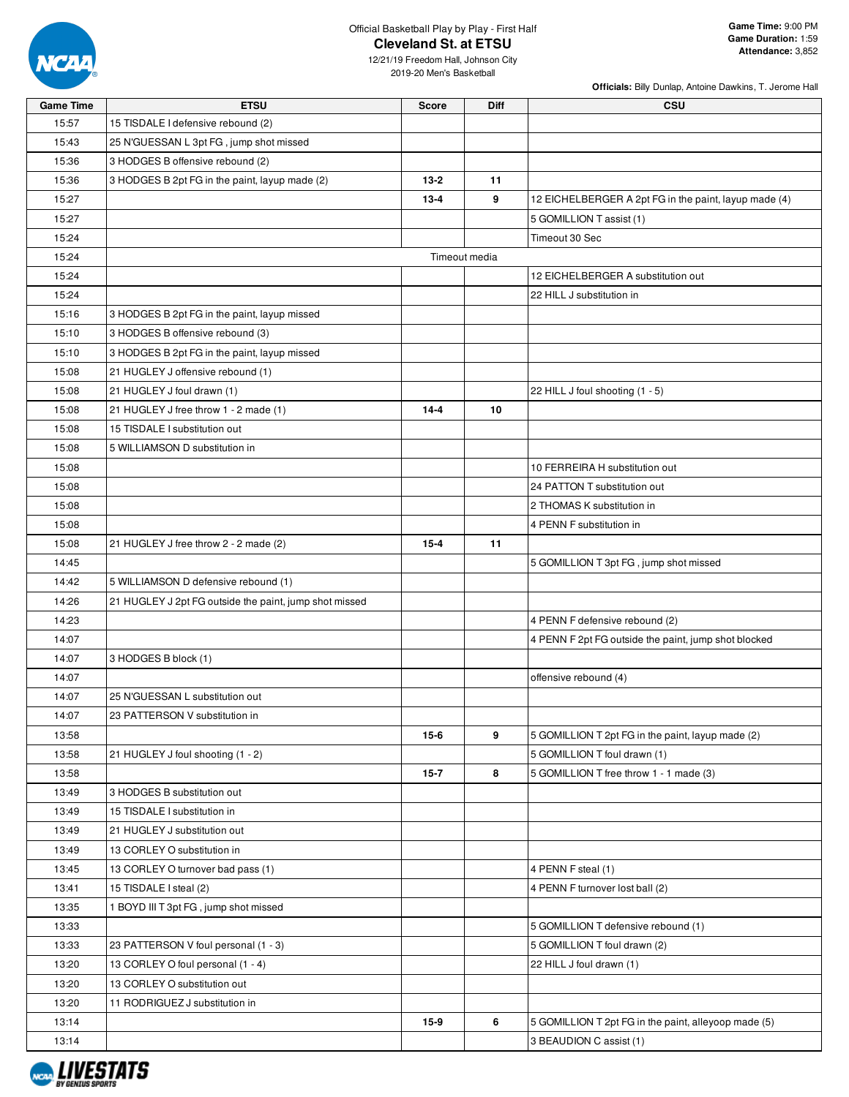

**Officials:** Billy Dunlap, Antoine Dawkins, T. Jerome Hall

| <b>Game Time</b> | <b>ETSU</b>                                            | <b>Score</b> | <b>Diff</b>   | <b>CSU</b>                                            |
|------------------|--------------------------------------------------------|--------------|---------------|-------------------------------------------------------|
| 15:57            | 15 TISDALE I defensive rebound (2)                     |              |               |                                                       |
| 15:43            | 25 N'GUESSAN L 3pt FG, jump shot missed                |              |               |                                                       |
| 15:36            | 3 HODGES B offensive rebound (2)                       |              |               |                                                       |
| 15:36            | 3 HODGES B 2pt FG in the paint, layup made (2)         | $13-2$       | 11            |                                                       |
| 15:27            |                                                        | $13 - 4$     | 9             | 12 EICHELBERGER A 2pt FG in the paint, layup made (4) |
| 15:27            |                                                        |              |               | 5 GOMILLION T assist (1)                              |
| 15:24            |                                                        |              |               | Timeout 30 Sec                                        |
| 15:24            |                                                        |              | Timeout media |                                                       |
| 15:24            |                                                        |              |               | 12 EICHELBERGER A substitution out                    |
| 15:24            |                                                        |              |               | 22 HILL J substitution in                             |
| 15:16            | 3 HODGES B 2pt FG in the paint, layup missed           |              |               |                                                       |
| 15:10            | 3 HODGES B offensive rebound (3)                       |              |               |                                                       |
| 15:10            | 3 HODGES B 2pt FG in the paint, layup missed           |              |               |                                                       |
| 15:08            | 21 HUGLEY J offensive rebound (1)                      |              |               |                                                       |
| 15:08            | 21 HUGLEY J foul drawn (1)                             |              |               | 22 HILL J foul shooting (1 - 5)                       |
| 15:08            | 21 HUGLEY J free throw 1 - 2 made (1)                  | $14 - 4$     | 10            |                                                       |
| 15:08            | 15 TISDALE I substitution out                          |              |               |                                                       |
| 15:08            | 5 WILLIAMSON D substitution in                         |              |               |                                                       |
| 15:08            |                                                        |              |               | 10 FERREIRA H substitution out                        |
| 15:08            |                                                        |              |               | 24 PATTON T substitution out                          |
| 15:08            |                                                        |              |               | 2 THOMAS K substitution in                            |
| 15:08            |                                                        |              |               | 4 PENN F substitution in                              |
| 15:08            | 21 HUGLEY J free throw 2 - 2 made (2)                  | $15 - 4$     | 11            |                                                       |
| 14:45            |                                                        |              |               | 5 GOMILLION T 3pt FG, jump shot missed                |
| 14:42            | 5 WILLIAMSON D defensive rebound (1)                   |              |               |                                                       |
| 14:26            | 21 HUGLEY J 2pt FG outside the paint, jump shot missed |              |               |                                                       |
| 14:23            |                                                        |              |               | 4 PENN F defensive rebound (2)                        |
| 14:07            |                                                        |              |               | 4 PENN F 2pt FG outside the paint, jump shot blocked  |
| 14:07            | 3 HODGES B block (1)                                   |              |               |                                                       |
| 14:07            |                                                        |              |               | offensive rebound (4)                                 |
| 14:07            | 25 N'GUESSAN L substitution out                        |              |               |                                                       |
| 14:07            | 23 PATTERSON V substitution in                         |              |               |                                                       |
| 13:58            |                                                        | $15-6$       | 9             | 5 GOMILLION T 2pt FG in the paint, layup made (2)     |
| 13:58            | 21 HUGLEY J foul shooting (1 - 2)                      |              |               | 5 GOMILLION T foul drawn (1)                          |
| 13:58            |                                                        | $15 - 7$     | 8             | 5 GOMILLION T free throw 1 - 1 made (3)               |
| 13:49            | 3 HODGES B substitution out                            |              |               |                                                       |
| 13:49            | 15 TISDALE I substitution in                           |              |               |                                                       |
| 13:49            | 21 HUGLEY J substitution out                           |              |               |                                                       |
| 13:49            | 13 CORLEY O substitution in                            |              |               |                                                       |
| 13:45            | 13 CORLEY O turnover bad pass (1)                      |              |               | 4 PENN F steal (1)                                    |
| 13:41            | 15 TISDALE I steal (2)                                 |              |               | 4 PENN F turnover lost ball (2)                       |
| 13:35            | 1 BOYD III T 3pt FG, jump shot missed                  |              |               |                                                       |
| 13:33            |                                                        |              |               | 5 GOMILLION T defensive rebound (1)                   |
| 13:33            | 23 PATTERSON V foul personal (1 - 3)                   |              |               | 5 GOMILLION T foul drawn (2)                          |
| 13:20            | 13 CORLEY O foul personal (1 - 4)                      |              |               | 22 HILL J foul drawn (1)                              |
| 13:20            | 13 CORLEY O substitution out                           |              |               |                                                       |
| 13:20            | 11 RODRIGUEZ J substitution in                         |              |               |                                                       |
| 13:14            |                                                        | $15-9$       | 6             | 5 GOMILLION T 2pt FG in the paint, alleyoop made (5)  |
| 13:14            |                                                        |              |               | 3 BEAUDION C assist (1)                               |

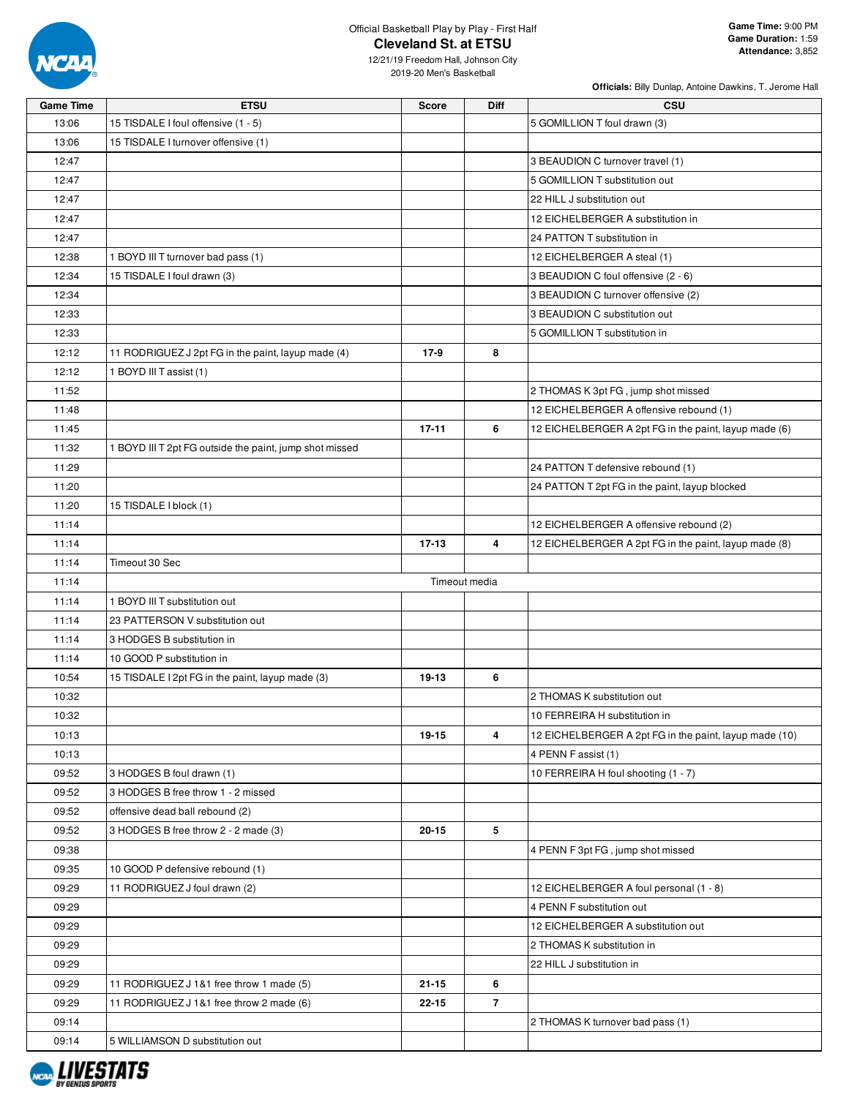

**Officials:** Billy Dunlap, Antoine Dawkins, T. Jerome Hall

| <b>Game Time</b> | <b>ETSU</b>                                             | <b>Score</b> | Diff           | <b>CSU</b>                                             |
|------------------|---------------------------------------------------------|--------------|----------------|--------------------------------------------------------|
| 13:06            | 15 TISDALE I foul offensive (1 - 5)                     |              |                | 5 GOMILLION T foul drawn (3)                           |
| 13:06            | 15 TISDALE I turnover offensive (1)                     |              |                |                                                        |
| 12:47            |                                                         |              |                | 3 BEAUDION C turnover travel (1)                       |
| 12:47            |                                                         |              |                | 5 GOMILLION T substitution out                         |
| 12:47            |                                                         |              |                | 22 HILL J substitution out                             |
| 12:47            |                                                         |              |                | 12 EICHELBERGER A substitution in                      |
| 12:47            |                                                         |              |                | 24 PATTON T substitution in                            |
| 12:38            | 1 BOYD III T turnover bad pass (1)                      |              |                | 12 EICHELBERGER A steal (1)                            |
| 12:34            | 15 TISDALE I foul drawn (3)                             |              |                | 3 BEAUDION C foul offensive (2 - 6)                    |
| 12:34            |                                                         |              |                | 3 BEAUDION C turnover offensive (2)                    |
| 12:33            |                                                         |              |                | 3 BEAUDION C substitution out                          |
| 12:33            |                                                         |              |                | 5 GOMILLION T substitution in                          |
| 12:12            | 11 RODRIGUEZ J 2pt FG in the paint, layup made (4)      | 17-9         | 8              |                                                        |
| 12:12            | 1 BOYD III T assist (1)                                 |              |                |                                                        |
| 11:52            |                                                         |              |                | 2 THOMAS K 3pt FG, jump shot missed                    |
| 11:48            |                                                         |              |                | 12 EICHELBERGER A offensive rebound (1)                |
| 11:45            |                                                         | $17 - 11$    | 6              | 12 EICHELBERGER A 2pt FG in the paint, layup made (6)  |
| 11:32            | 1 BOYD III T 2pt FG outside the paint, jump shot missed |              |                |                                                        |
| 11:29            |                                                         |              |                | 24 PATTON T defensive rebound (1)                      |
| 11:20            |                                                         |              |                | 24 PATTON T 2pt FG in the paint, layup blocked         |
| 11:20            | 15 TISDALE I block (1)                                  |              |                |                                                        |
| 11:14            |                                                         |              |                | 12 EICHELBERGER A offensive rebound (2)                |
| 11:14            |                                                         | $17 - 13$    | 4              | 12 EICHELBERGER A 2pt FG in the paint, layup made (8)  |
| 11:14            | Timeout 30 Sec                                          |              |                |                                                        |
| 11:14            |                                                         |              | Timeout media  |                                                        |
|                  | 1 BOYD III T substitution out                           |              |                |                                                        |
| 11:14            |                                                         |              |                |                                                        |
| 11:14            | 23 PATTERSON V substitution out                         |              |                |                                                        |
| 11:14            | 3 HODGES B substitution in                              |              |                |                                                        |
| 11:14            | 10 GOOD P substitution in                               |              |                |                                                        |
| 10:54            | 15 TISDALE I 2pt FG in the paint, layup made (3)        | 19-13        | 6              |                                                        |
| 10:32            |                                                         |              |                | 2 THOMAS K substitution out                            |
| 10:32            |                                                         |              |                | 10 FERREIRA H substitution in                          |
| 10:13            |                                                         | 19-15        | 4              | 12 EICHELBERGER A 2pt FG in the paint, layup made (10) |
| 10:13            |                                                         |              |                | 4 PENN F assist (1)                                    |
| 09:52            | 3 HODGES B foul drawn (1)                               |              |                | 10 FERREIRA H foul shooting (1 - 7)                    |
| 09:52            | 3 HODGES B free throw 1 - 2 missed                      |              |                |                                                        |
| 09:52            | offensive dead ball rebound (2)                         |              |                |                                                        |
| 09:52            | 3 HODGES B free throw 2 - 2 made (3)                    | 20-15        | 5              |                                                        |
| 09:38            |                                                         |              |                | 4 PENN F 3pt FG, jump shot missed                      |
| 09:35            | 10 GOOD P defensive rebound (1)                         |              |                |                                                        |
| 09:29            | 11 RODRIGUEZ J foul drawn (2)                           |              |                | 12 EICHELBERGER A foul personal (1 - 8)                |
| 09:29            |                                                         |              |                | 4 PENN F substitution out                              |
| 09:29            |                                                         |              |                | 12 EICHELBERGER A substitution out                     |
| 09:29            |                                                         |              |                | 2 THOMAS K substitution in                             |
| 09:29            |                                                         |              |                | 22 HILL J substitution in                              |
| 09:29            | 11 RODRIGUEZ J 1&1 free throw 1 made (5)                | $21 - 15$    | 6              |                                                        |
| 09:29            | 11 RODRIGUEZ J 1&1 free throw 2 made (6)                | 22-15        | $\overline{7}$ |                                                        |
| 09:14            |                                                         |              |                | 2 THOMAS K turnover bad pass (1)                       |
| 09:14            | 5 WILLIAMSON D substitution out                         |              |                |                                                        |

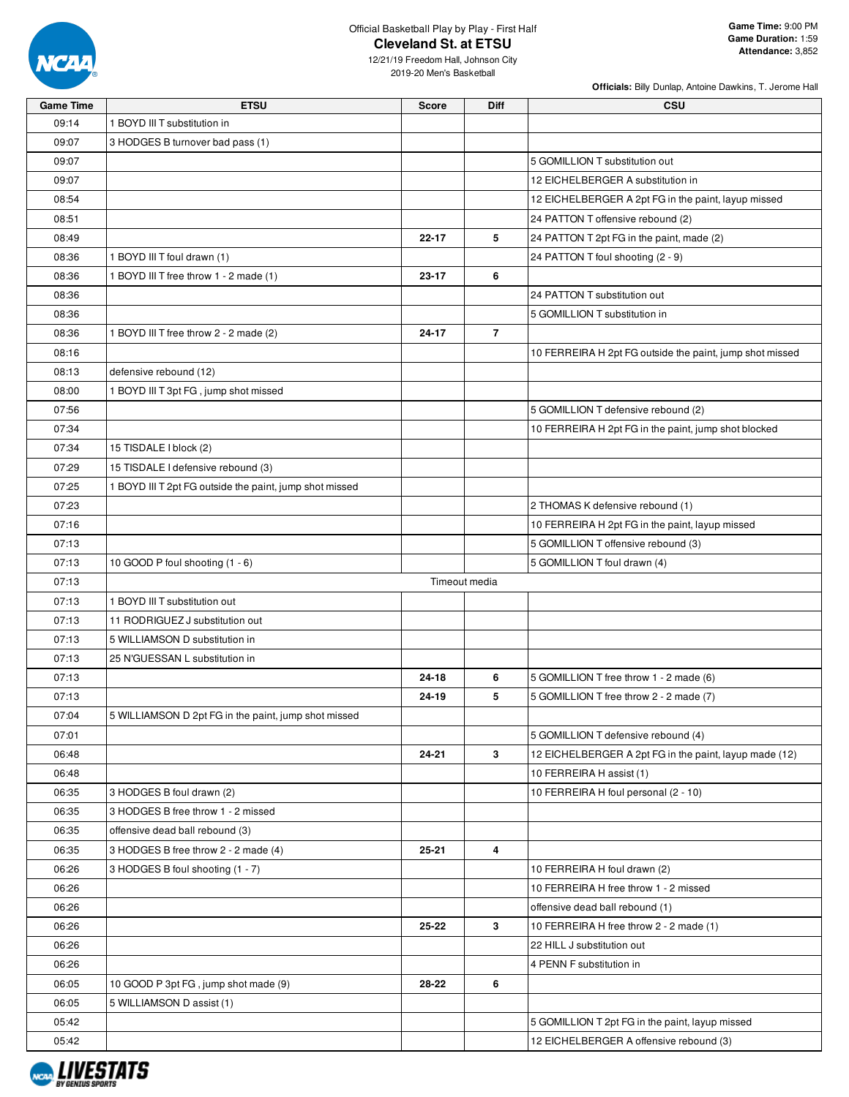

**Officials:** Billy Dunlap, Antoine Dawkins, T. Jerome Hall

| <b>Game Time</b> | <b>ETSU</b>                                             | <b>Score</b>  | <b>Diff</b>    | <b>CSU</b>                                               |
|------------------|---------------------------------------------------------|---------------|----------------|----------------------------------------------------------|
| 09:14            | 1 BOYD III T substitution in                            |               |                |                                                          |
| 09:07            | 3 HODGES B turnover bad pass (1)                        |               |                |                                                          |
| 09:07            |                                                         |               |                | 5 GOMILLION T substitution out                           |
| 09:07            |                                                         |               |                | 12 EICHELBERGER A substitution in                        |
| 08:54            |                                                         |               |                | 12 EICHELBERGER A 2pt FG in the paint, layup missed      |
| 08:51            |                                                         |               |                | 24 PATTON T offensive rebound (2)                        |
| 08:49            |                                                         | $22 - 17$     | 5              | 24 PATTON T 2pt FG in the paint, made (2)                |
| 08:36            | 1 BOYD III T foul drawn (1)                             |               |                | 24 PATTON T foul shooting (2 - 9)                        |
| 08:36            | 1 BOYD III T free throw 1 - 2 made (1)                  | 23-17         | 6              |                                                          |
| 08:36            |                                                         |               |                | 24 PATTON T substitution out                             |
| 08:36            |                                                         |               |                | 5 GOMILLION T substitution in                            |
| 08:36            | 1 BOYD III T free throw 2 - 2 made (2)                  | 24-17         | $\overline{7}$ |                                                          |
| 08:16            |                                                         |               |                | 10 FERREIRA H 2pt FG outside the paint, jump shot missed |
| 08:13            | defensive rebound (12)                                  |               |                |                                                          |
| 08:00            | 1 BOYD III T 3pt FG, jump shot missed                   |               |                |                                                          |
| 07:56            |                                                         |               |                | 5 GOMILLION T defensive rebound (2)                      |
| 07:34            |                                                         |               |                | 10 FERREIRA H 2pt FG in the paint, jump shot blocked     |
| 07:34            | 15 TISDALE I block (2)                                  |               |                |                                                          |
| 07:29            | 15 TISDALE I defensive rebound (3)                      |               |                |                                                          |
| 07:25            | 1 BOYD III T 2pt FG outside the paint, jump shot missed |               |                |                                                          |
| 07:23            |                                                         |               |                | 2 THOMAS K defensive rebound (1)                         |
| 07:16            |                                                         |               |                | 10 FERREIRA H 2pt FG in the paint, layup missed          |
| 07:13            |                                                         |               |                | 5 GOMILLION T offensive rebound (3)                      |
| 07:13            | 10 GOOD P foul shooting (1 - 6)                         |               |                | 5 GOMILLION T foul drawn (4)                             |
| 07:13            |                                                         | Timeout media |                |                                                          |
| 07:13            | 1 BOYD III T substitution out                           |               |                |                                                          |
| 07:13            | 11 RODRIGUEZ J substitution out                         |               |                |                                                          |
| 07:13            | 5 WILLIAMSON D substitution in                          |               |                |                                                          |
| 07:13            | 25 N'GUESSAN L substitution in                          |               |                |                                                          |
| 07:13            |                                                         | 24-18         | 6              | 5 GOMILLION T free throw 1 - 2 made (6)                  |
| 07:13            |                                                         | 24-19         | 5              | 5 GOMILLION T free throw 2 - 2 made (7)                  |
| 07:04            |                                                         |               |                |                                                          |
|                  | 5 WILLIAMSON D 2pt FG in the paint, jump shot missed    |               |                |                                                          |
| 07:01            |                                                         |               | 3              | 5 GOMILLION T defensive rebound (4)                      |
| 06:48            |                                                         | 24-21         |                | 12 EICHELBERGER A 2pt FG in the paint, layup made (12)   |
| 06:48            |                                                         |               |                | 10 FERREIRA H assist (1)                                 |
| 06:35            | 3 HODGES B foul drawn (2)                               |               |                | 10 FERREIRA H foul personal (2 - 10)                     |
| 06:35            | 3 HODGES B free throw 1 - 2 missed                      |               |                |                                                          |
| 06:35            | offensive dead ball rebound (3)                         |               |                |                                                          |
| 06:35            | 3 HODGES B free throw 2 - 2 made (4)                    | 25-21         | 4              |                                                          |
| 06:26            | 3 HODGES B foul shooting (1 - 7)                        |               |                | 10 FERREIRA H foul drawn (2)                             |
| 06:26            |                                                         |               |                | 10 FERREIRA H free throw 1 - 2 missed                    |
| 06:26            |                                                         |               |                | offensive dead ball rebound (1)                          |
| 06:26            |                                                         | 25-22         | 3              | 10 FERREIRA H free throw 2 - 2 made (1)                  |
| 06:26            |                                                         |               |                | 22 HILL J substitution out                               |
| 06:26            |                                                         |               |                | 4 PENN F substitution in                                 |
| 06:05            | 10 GOOD P 3pt FG, jump shot made (9)                    | 28-22         | 6              |                                                          |
| 06:05            | 5 WILLIAMSON D assist (1)                               |               |                |                                                          |
| 05:42            |                                                         |               |                | 5 GOMILLION T 2pt FG in the paint, layup missed          |
| 05:42            |                                                         |               |                | 12 EICHELBERGER A offensive rebound (3)                  |

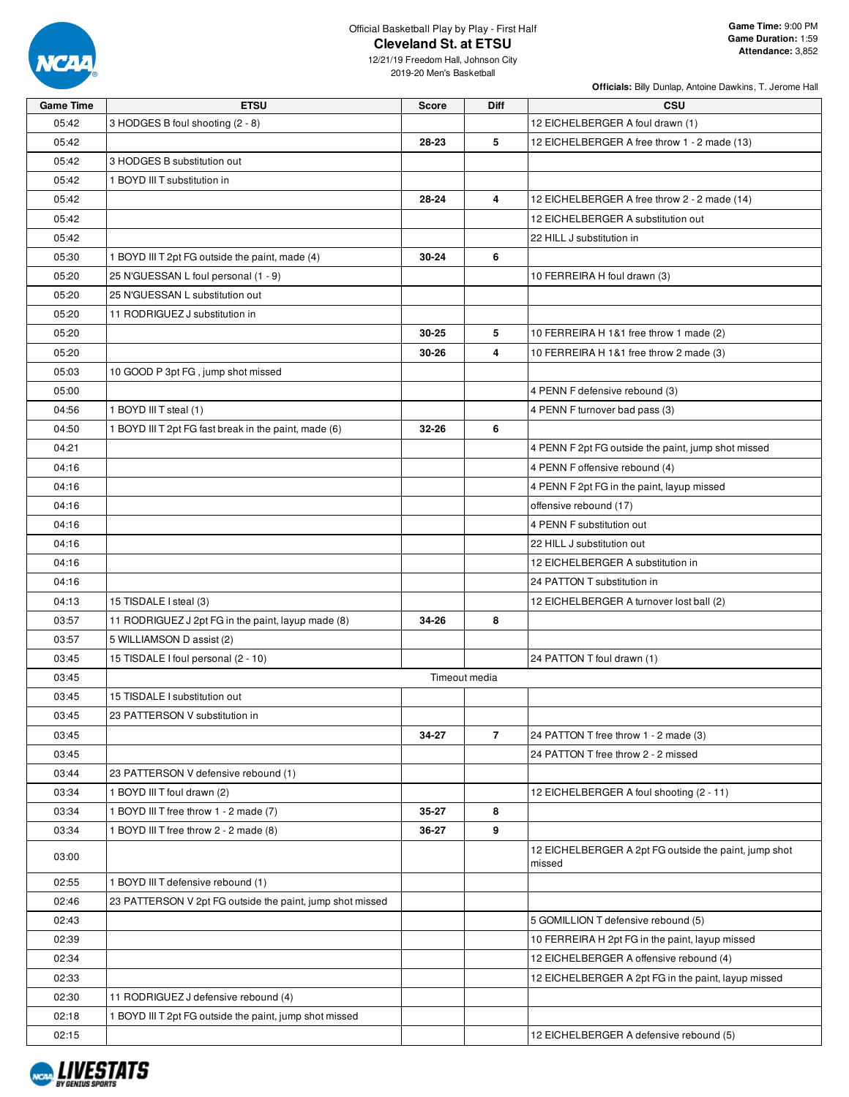

**Officials:** Billy Dunlap, Antoine Dawkins, T. Jerome Hall

| <b>Game Time</b> | <b>ETSU</b>                                               | <b>Score</b>  | Diff           | <b>CSU</b>                                                      |
|------------------|-----------------------------------------------------------|---------------|----------------|-----------------------------------------------------------------|
| 05:42            | 3 HODGES B foul shooting (2 - 8)                          |               |                | 12 EICHELBERGER A foul drawn (1)                                |
| 05:42            |                                                           | 28-23         | 5              | 12 EICHELBERGER A free throw 1 - 2 made (13)                    |
| 05:42            | 3 HODGES B substitution out                               |               |                |                                                                 |
| 05:42            | 1 BOYD III T substitution in                              |               |                |                                                                 |
| 05:42            |                                                           | 28-24         | 4              | 12 EICHELBERGER A free throw 2 - 2 made (14)                    |
| 05:42            |                                                           |               |                | 12 EICHELBERGER A substitution out                              |
| 05:42            |                                                           |               |                | 22 HILL J substitution in                                       |
| 05:30            | 1 BOYD III T 2pt FG outside the paint, made (4)           | 30-24         | 6              |                                                                 |
| 05:20            | 25 N'GUESSAN L foul personal (1 - 9)                      |               |                | 10 FERREIRA H foul drawn (3)                                    |
| 05:20            | 25 N'GUESSAN L substitution out                           |               |                |                                                                 |
| 05:20            | 11 RODRIGUEZ J substitution in                            |               |                |                                                                 |
| 05:20            |                                                           | 30-25         | 5              | 10 FERREIRA H 1&1 free throw 1 made (2)                         |
| 05:20            |                                                           | 30-26         | 4              | 10 FERREIRA H 1&1 free throw 2 made (3)                         |
| 05:03            | 10 GOOD P 3pt FG, jump shot missed                        |               |                |                                                                 |
| 05:00            |                                                           |               |                | 4 PENN F defensive rebound (3)                                  |
| 04:56            | 1 BOYD III T steal (1)                                    |               |                | 4 PENN F turnover bad pass (3)                                  |
| 04:50            | 1 BOYD III T 2pt FG fast break in the paint, made (6)     | 32-26         | 6              |                                                                 |
| 04:21            |                                                           |               |                | 4 PENN F 2pt FG outside the paint, jump shot missed             |
| 04:16            |                                                           |               |                | 4 PENN F offensive rebound (4)                                  |
| 04:16            |                                                           |               |                | 4 PENN F 2pt FG in the paint, layup missed                      |
| 04:16            |                                                           |               |                | offensive rebound (17)                                          |
| 04:16            |                                                           |               |                | 4 PENN F substitution out                                       |
| 04:16            |                                                           |               |                | 22 HILL J substitution out                                      |
| 04:16            |                                                           |               |                | 12 EICHELBERGER A substitution in                               |
| 04:16            |                                                           |               |                | 24 PATTON T substitution in                                     |
| 04:13            | 15 TISDALE I steal (3)                                    |               |                | 12 EICHELBERGER A turnover lost ball (2)                        |
| 03:57            | 11 RODRIGUEZ J 2pt FG in the paint, layup made (8)        | 34-26         | 8              |                                                                 |
| 03:57            | 5 WILLIAMSON D assist (2)                                 |               |                |                                                                 |
| 03:45            | 15 TISDALE I foul personal (2 - 10)                       |               |                | 24 PATTON T foul drawn (1)                                      |
| 03:45            |                                                           | Timeout media |                |                                                                 |
| 03:45            | 15 TISDALE I substitution out                             |               |                |                                                                 |
| 03:45            | 23 PATTERSON V substitution in                            |               |                |                                                                 |
| 03:45            |                                                           | 34-27         | $\overline{7}$ | 24 PATTON T free throw 1 - 2 made (3)                           |
| 03:45            |                                                           |               |                | 24 PATTON T free throw 2 - 2 missed                             |
| 03:44            | 23 PATTERSON V defensive rebound (1)                      |               |                |                                                                 |
| 03:34            | 1 BOYD III T foul drawn (2)                               |               |                | 12 EICHELBERGER A foul shooting (2 - 11)                        |
| 03:34            | 1 BOYD III T free throw 1 - 2 made (7)                    | 35-27         | 8              |                                                                 |
| 03:34            | 1 BOYD III T free throw 2 - 2 made (8)                    | 36-27         | 9              |                                                                 |
| 03:00            |                                                           |               |                | 12 EICHELBERGER A 2pt FG outside the paint, jump shot<br>missed |
| 02:55            | 1 BOYD III T defensive rebound (1)                        |               |                |                                                                 |
| 02:46            | 23 PATTERSON V 2pt FG outside the paint, jump shot missed |               |                |                                                                 |
| 02:43            |                                                           |               |                | 5 GOMILLION T defensive rebound (5)                             |
| 02:39            |                                                           |               |                | 10 FERREIRA H 2pt FG in the paint, layup missed                 |
| 02:34            |                                                           |               |                | 12 EICHELBERGER A offensive rebound (4)                         |
| 02:33            |                                                           |               |                | 12 EICHELBERGER A 2pt FG in the paint, layup missed             |
| 02:30            | 11 RODRIGUEZ J defensive rebound (4)                      |               |                |                                                                 |
| 02:18            | 1 BOYD III T 2pt FG outside the paint, jump shot missed   |               |                |                                                                 |
| 02:15            |                                                           |               |                | 12 EICHELBERGER A defensive rebound (5)                         |
|                  |                                                           |               |                |                                                                 |

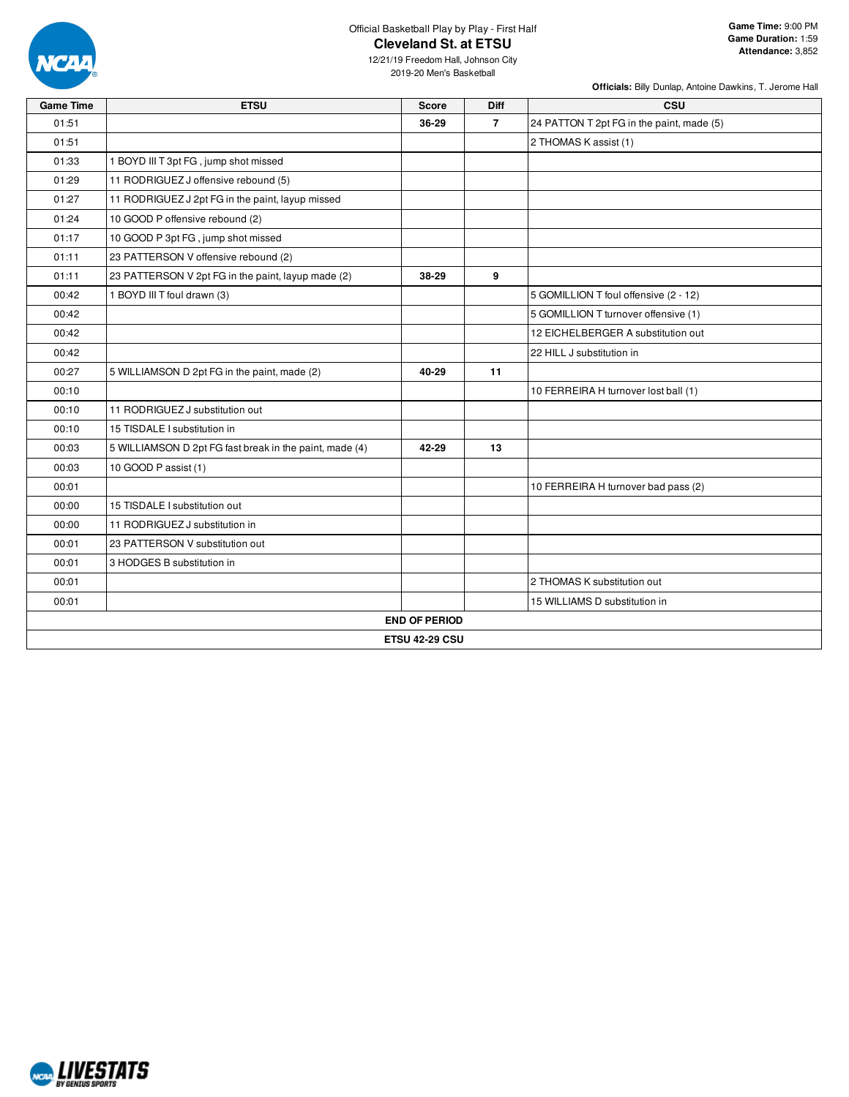

**Officials:** Billy Dunlap, Antoine Dawkins, T. Jerome Hall

| <b>Game Time</b> | <b>ETSU</b>                                             | <b>Score</b>          | Diff           | CSU                                       |
|------------------|---------------------------------------------------------|-----------------------|----------------|-------------------------------------------|
| 01:51            |                                                         | 36-29                 | $\overline{7}$ | 24 PATTON T 2pt FG in the paint, made (5) |
| 01:51            |                                                         |                       |                | 2 THOMAS K assist (1)                     |
| 01:33            | 1 BOYD III T 3pt FG, jump shot missed                   |                       |                |                                           |
| 01:29            | 11 RODRIGUEZ J offensive rebound (5)                    |                       |                |                                           |
| 01:27            | 11 RODRIGUEZ J 2pt FG in the paint, layup missed        |                       |                |                                           |
| 01:24            | 10 GOOD P offensive rebound (2)                         |                       |                |                                           |
| 01:17            | 10 GOOD P 3pt FG, jump shot missed                      |                       |                |                                           |
| 01:11            | 23 PATTERSON V offensive rebound (2)                    |                       |                |                                           |
| 01:11            | 23 PATTERSON V 2pt FG in the paint, layup made (2)      | 38-29                 | 9              |                                           |
| 00:42            | 1 BOYD III T foul drawn (3)                             |                       |                | 5 GOMILLION T foul offensive (2 - 12)     |
| 00:42            |                                                         |                       |                | 5 GOMILLION T turnover offensive (1)      |
| 00:42            |                                                         |                       |                | 12 EICHELBERGER A substitution out        |
| 00:42            |                                                         |                       |                | 22 HILL J substitution in                 |
| 00:27            | 5 WILLIAMSON D 2pt FG in the paint, made (2)            | 40-29                 | 11             |                                           |
| 00:10            |                                                         |                       |                | 10 FERREIRA H turnover lost ball (1)      |
| 00:10            | 11 RODRIGUEZ J substitution out                         |                       |                |                                           |
| 00:10            | 15 TISDALE I substitution in                            |                       |                |                                           |
| 00:03            | 5 WILLIAMSON D 2pt FG fast break in the paint, made (4) | 42-29                 | 13             |                                           |
| 00:03            | 10 GOOD P assist (1)                                    |                       |                |                                           |
| 00:01            |                                                         |                       |                | 10 FERREIRA H turnover bad pass (2)       |
| 00:00            | 15 TISDALE I substitution out                           |                       |                |                                           |
| 00:00            | 11 RODRIGUEZ J substitution in                          |                       |                |                                           |
| 00:01            | 23 PATTERSON V substitution out                         |                       |                |                                           |
| 00:01            | 3 HODGES B substitution in                              |                       |                |                                           |
| 00:01            |                                                         |                       |                | 2 THOMAS K substitution out               |
| 00:01            |                                                         |                       |                | 15 WILLIAMS D substitution in             |
|                  |                                                         | <b>END OF PERIOD</b>  |                |                                           |
|                  |                                                         | <b>ETSU 42-29 CSU</b> |                |                                           |

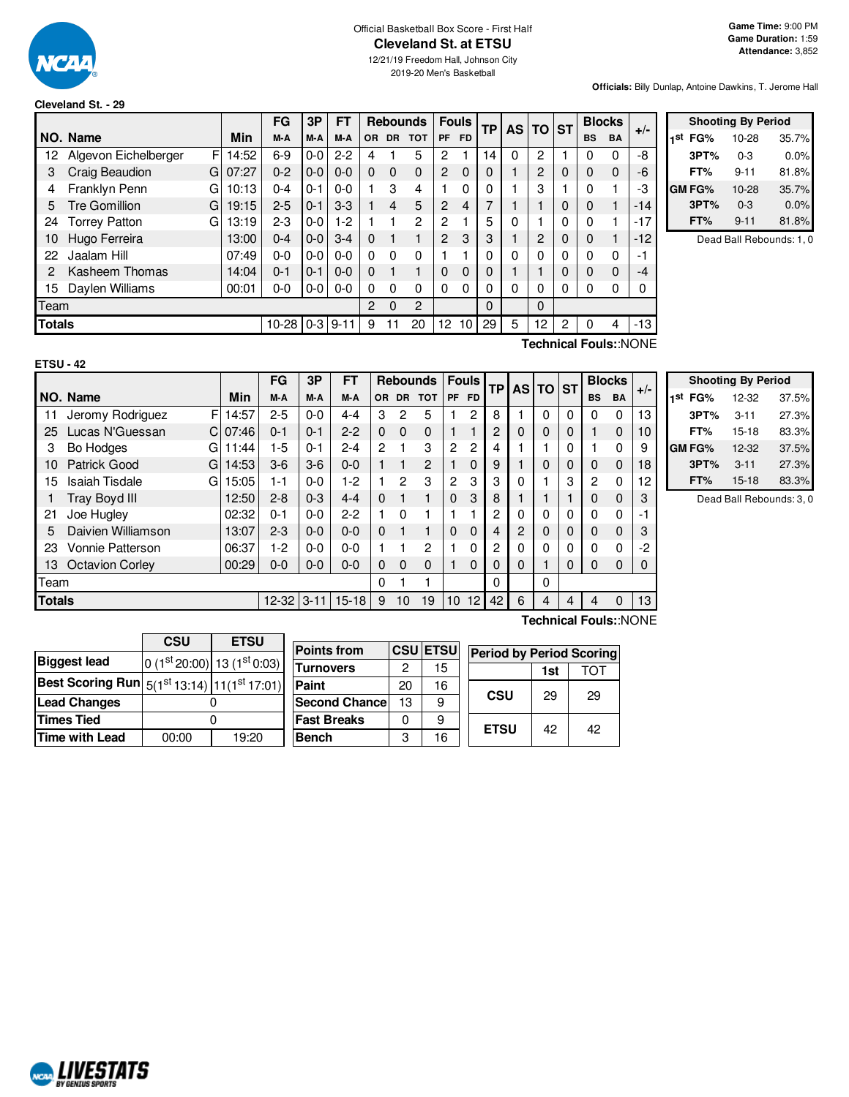

## Official Basketball Box Score - First Half **Cleveland St. at ETSU**

12/21/19 Freedom Hall, Johnson City 2019-20 Men's Basketball

**Officials:** Billy Dunlap, Antoine Dawkins, T. Jerome Hall

### **Cleveland St. - 29**

|      |                                             |       | FG      | 3P      | <b>FT</b> |          |                | <b>Rebounds</b> |                 | <b>Fouls</b> | <b>TP</b> |          | AS TO ST |          | <b>Blocks</b> |           | $+/-$ |
|------|---------------------------------------------|-------|---------|---------|-----------|----------|----------------|-----------------|-----------------|--------------|-----------|----------|----------|----------|---------------|-----------|-------|
|      | NO. Name                                    | Min   | M-A     | M-A     | M-A       | OR.      | <b>DR</b>      | <b>TOT</b>      | <b>PF</b>       | <b>FD</b>    |           |          |          |          | <b>BS</b>     | <b>BA</b> |       |
| 12   | F<br>Algevon Eichelberger                   | 14:52 | $6-9$   | $0-0$   | $2 - 2$   | 4        |                | 5               | 2               |              | 14        | $\Omega$ | 2        |          | 0             | 0         | -8    |
| 3    | Craig Beaudion<br>G                         | 07:27 | $0 - 2$ | $0 - 0$ | $0 - 0$   | 0        | $\Omega$       | $\Omega$        | $\overline{2}$  | $\Omega$     | 0         |          | 2        | $\Omega$ | $\Omega$      | $\Omega$  | -6    |
| 4    | Franklyn Penn<br>G                          | 10:13 | $0 - 4$ | $0 - 1$ | $0 - 0$   |          | 3              | 4               |                 | 0            |           |          | 3        |          | 0             |           | -3    |
| 5    | <b>Tre Gomillion</b><br>G                   | 19:15 | $2 - 5$ | $0 - 1$ | $3-3$     |          | $\overline{4}$ | 5               | $\overline{2}$  | 4            |           |          |          |          | $\Omega$      |           | $-14$ |
| 24   | <b>Torrey Patton</b><br>G                   | 13:19 | $2 - 3$ | $0 - 0$ | $1-2$     |          |                | $\overline{2}$  | $\overline{c}$  |              | 5         |          |          | 0        | $\Omega$      |           | $-17$ |
| 10   | Hugo Ferreira                               | 13:00 | $0 - 4$ | $0-0$   | $3 - 4$   | $\Omega$ |                |                 | $\overline{2}$  | 3            | 3         |          | 2        | $\Omega$ | $\Omega$      |           | $-12$ |
| 22   | Jaalam Hill                                 | 07:49 | $0 - 0$ | $0 - 0$ | $0 - 0$   | 0        | 0              | 0               |                 |              |           |          | 0        | 0        | $\Omega$      | 0         | -1    |
| 2    | Kasheem Thomas                              | 14:04 | $0 - 1$ | $0 - 1$ | $0 - 0$   | 0        |                |                 | $\Omega$        | 0            | 0         |          |          |          | $\Omega$      | $\Omega$  | $-4$  |
| 15   | Daylen Williams                             | 00:01 | $0-0$   | $0-0$   | $0 - 0$   | 0        | 0              | 0               | $\Omega$        | $\Omega$     | 0         | 0        | 0        |          | 0             | 0         | 0     |
| Team |                                             |       |         |         |           |          | $\Omega$       | $\overline{2}$  |                 |              | $\Omega$  |          | 0        |          |               |           |       |
|      | <b>Totals</b><br>10-28<br>$9 - 11$<br>$0-3$ |       |         |         |           |          |                | 20              | 12 <sup>2</sup> | 10           | 29        | 5        | 12       | 2        | $\Omega$      | 4         | $-13$ |

|     | <b>Shooting By Period</b> |           |       |  |  |  |  |  |  |  |  |  |  |
|-----|---------------------------|-----------|-------|--|--|--|--|--|--|--|--|--|--|
| 1st | FG%                       | $10 - 28$ | 35.7% |  |  |  |  |  |  |  |  |  |  |
|     | 3PT%                      | $0 - 3$   | 0.0%  |  |  |  |  |  |  |  |  |  |  |
|     | FT%                       | $9 - 11$  | 81.8% |  |  |  |  |  |  |  |  |  |  |
|     | GM FG%                    | $10 - 28$ | 35.7% |  |  |  |  |  |  |  |  |  |  |
|     | 3PT%                      | $0 - 3$   | 0.0%  |  |  |  |  |  |  |  |  |  |  |
|     | FT%                       | $9 - 11$  | 81.8% |  |  |  |  |  |  |  |  |  |  |

Dead Ball Rebounds: 1, 0

| ETSU - | 49 |
|--------|----|

**Technical Fouls:**:NONE

|    |                                              |       | FG      | 3P      | FТ      |           |          | <b>Rebounds</b> |                 | <b>Fouls</b> | <b>TP</b> | <b>AS TO</b> |          | <b>ST</b> |                | <b>Blocks</b> | $+/-$ |
|----|----------------------------------------------|-------|---------|---------|---------|-----------|----------|-----------------|-----------------|--------------|-----------|--------------|----------|-----------|----------------|---------------|-------|
|    | NO. Name                                     | Min   | M-A     | M-A     | M-A     | <b>OR</b> |          | DR TOT          | <b>PF</b>       | <b>FD</b>    |           |              |          |           | <b>BS</b>      | <b>BA</b>     |       |
| 11 | F<br>Jeromy Rodriguez                        | 14:57 | $2 - 5$ | $0 - 0$ | $4 - 4$ | 3         | 2        | 5               |                 | 2            | 8         |              | 0        | 0         | 0              | 0             | 13    |
| 25 | Lucas N'Guessan<br>C                         | 07:46 | $0 - 1$ | $0 - 1$ | $2 - 2$ | $\Omega$  | $\Omega$ | $\Omega$        |                 |              | 2         | $\Omega$     | $\Omega$ | 0         |                | 0             | 10    |
| 3  | <b>Bo Hodges</b><br>G                        | 11:44 | 1-5     | $0 - 1$ | $2 - 4$ | 2         |          | 3               | 2               | 2            |           |              |          | 0         |                | 0             | 9     |
| 10 | Patrick Good<br>G                            | 14:53 | $3-6$   | $3-6$   | $0 - 0$ |           |          | $\overline{2}$  |                 | 0            | 9         |              | $\Omega$ | 0         | 0              | 0             | 18    |
| 15 | <b>Isaiah Tisdale</b><br>G                   | 15:05 | $1 - 1$ | $0 - 0$ | 1-2     |           | 2        | 3               | $\overline{2}$  | 3            | 3         | 0            |          | 3         | $\overline{c}$ | $\mathbf{0}$  | 12    |
|    | <b>Tray Boyd III</b>                         | 12:50 | $2 - 8$ | $0 - 3$ | $4 - 4$ | $\Omega$  |          |                 | $\Omega$        | 3            | 8         |              |          |           | 0              | $\Omega$      | 3     |
| 21 | Joe Hugley                                   | 02:32 | $0 - 1$ | $0 - 0$ | $2-2$   |           | $\Omega$ |                 |                 |              | 2         | 0            |          | 0         | 0              | $\mathbf 0$   | -1    |
| 5  | Daivien Williamson                           | 13:07 | $2 - 3$ | $0 - 0$ | $0 - 0$ | $\Omega$  |          |                 | $\Omega$        | $\Omega$     | 4         | 2            | $\Omega$ | 0         | 0              | $\Omega$      | 3     |
| 23 | <b>Vonnie Patterson</b>                      | 06:37 | 1-2     | $0 - 0$ | $0 - 0$ |           |          | 2               |                 | $\mathbf 0$  | 2         | 0            | 0        | 0         | 0              | $\mathbf 0$   | -2    |
| 13 | <b>Octavion Corley</b>                       | 00:29 | $0 - 0$ | $0 - 0$ | $0 - 0$ | $\Omega$  | $\Omega$ | $\Omega$        |                 | $\Omega$     | 0         | 0            |          | 0         | 0              | $\Omega$      | 0     |
|    | Team                                         |       |         |         |         | 0         |          |                 |                 |              | 0         |              | $\Omega$ |           |                |               |       |
|    | <b>Totals</b><br>$12 - 32$ 3-11<br>$15 - 18$ |       |         |         |         | 9         | 10       | 19              | 10 <sup>1</sup> | 12           | 42        | 6            | 4        | 4         | 4              | $\Omega$      | 13    |
|    | <br>-<br>-                                   |       |         |         |         |           |          |                 |                 |              |           |              |          |           |                |               |       |

| <b>Shooting By Period</b> |           |       |  |  |  |  |  |  |  |  |  |  |  |
|---------------------------|-----------|-------|--|--|--|--|--|--|--|--|--|--|--|
| 1st<br>FG%                | 12-32     | 37.5% |  |  |  |  |  |  |  |  |  |  |  |
| 3PT%                      | $3 - 11$  | 27.3% |  |  |  |  |  |  |  |  |  |  |  |
| FT%                       | $15 - 18$ | 83.3% |  |  |  |  |  |  |  |  |  |  |  |
| GM FG%                    | 12-32     | 37.5% |  |  |  |  |  |  |  |  |  |  |  |
| 3PT%                      | $3 - 11$  | 27.3% |  |  |  |  |  |  |  |  |  |  |  |
| FT%                       | $15 - 18$ | 83.3% |  |  |  |  |  |  |  |  |  |  |  |

Dead Ball Rebounds: 3, 0

|                                                            | <b>CSU</b> | <b>ETSU</b>               |      |  |  |  |  |
|------------------------------------------------------------|------------|---------------------------|------|--|--|--|--|
|                                                            |            |                           | Poi  |  |  |  |  |
| <b>Biggest lead</b>                                        |            | $0(1st20:00) 13(1st0:03)$ | Tur  |  |  |  |  |
| <b>Best Scoring Run</b> $5(1^{st}13:14)$ $11(1^{st}17:01)$ |            |                           | Pair |  |  |  |  |
| <b>Lead Changes</b>                                        |            |                           |      |  |  |  |  |
| <b>Times Tied</b>                                          |            |                           | Fas  |  |  |  |  |
| <b>Time with Lead</b>                                      | 00:00      | 19:20                     | Ber  |  |  |  |  |

| <b>Points from</b>    |    | <b>CSU ETSU</b> | <b>Period by Period Scoring</b> |     |    |
|-----------------------|----|-----------------|---------------------------------|-----|----|
| Turnovers             | 2  | 15              |                                 | 1st | וח |
| Paint                 | 20 | 16              |                                 |     |    |
| <b>Second Chancel</b> | 13 | 9               | <b>CSU</b>                      | 29  | 29 |
| <b>Fast Breaks</b>    | 0  | 9               |                                 |     |    |
| <b>Bench</b>          | 3  | 16              | <b>ETSU</b>                     | 42  | 42 |

**Technical Fouls:**:NONE

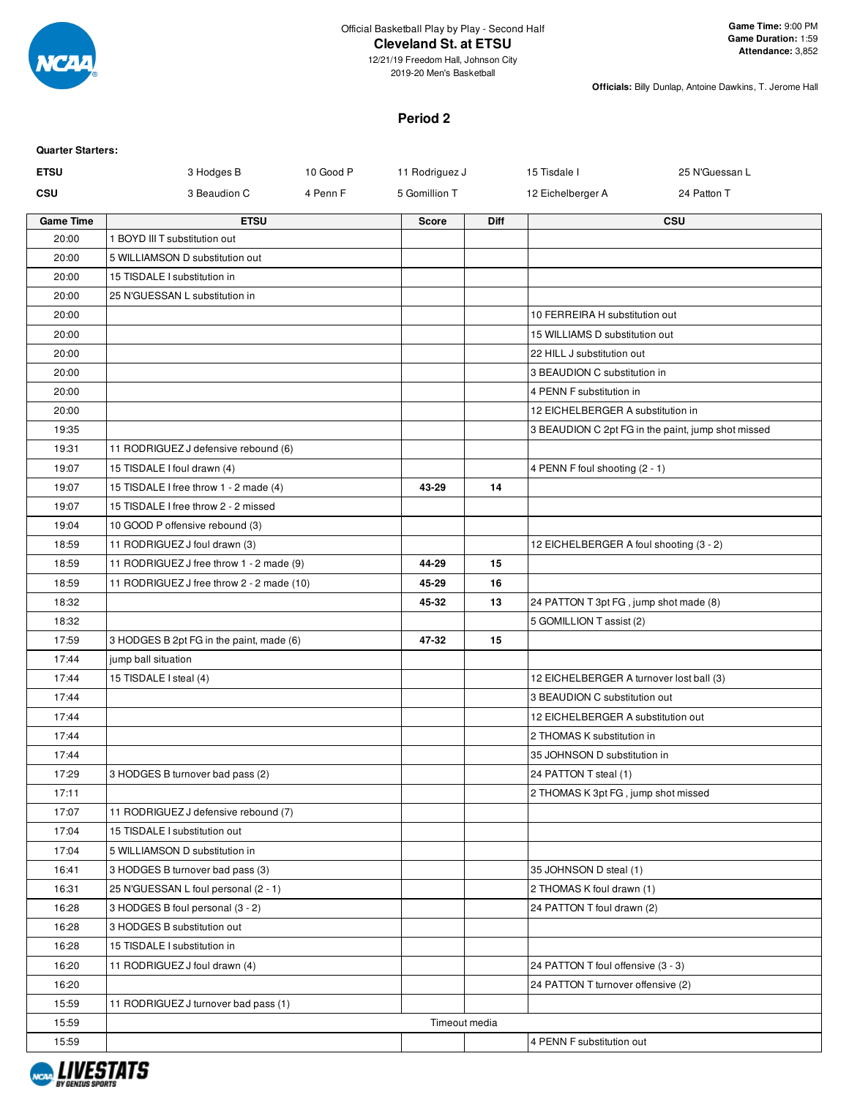

**Officials:** Billy Dunlap, Antoine Dawkins, T. Jerome Hall

### **Period 2**

| <b>Quarter Starters:</b> |                                           |           |                |             |                                                                           |                                                    |
|--------------------------|-------------------------------------------|-----------|----------------|-------------|---------------------------------------------------------------------------|----------------------------------------------------|
| <b>ETSU</b>              | 3 Hodges B                                | 10 Good P | 11 Rodriguez J |             | 15 Tisdale I                                                              | 25 N'Guessan L                                     |
| CSU                      | 3 Beaudion C                              | 4 Penn F  | 5 Gomillion T  |             | 12 Eichelberger A                                                         | 24 Patton T                                        |
| <b>Game Time</b>         | <b>ETSU</b>                               |           | <b>Score</b>   | <b>Diff</b> |                                                                           | <b>CSU</b>                                         |
| 20:00                    | 1 BOYD III T substitution out             |           |                |             |                                                                           |                                                    |
| 20:00                    | 5 WILLIAMSON D substitution out           |           |                |             |                                                                           |                                                    |
| 20:00                    | 15 TISDALE I substitution in              |           |                |             |                                                                           |                                                    |
| 20:00                    | 25 N'GUESSAN L substitution in            |           |                |             |                                                                           |                                                    |
| 20:00                    |                                           |           |                |             | 10 FERREIRA H substitution out                                            |                                                    |
| 20:00                    |                                           |           |                |             | 15 WILLIAMS D substitution out                                            |                                                    |
| 20:00                    |                                           |           |                |             | 22 HILL J substitution out                                                |                                                    |
| 20:00                    |                                           |           |                |             | 3 BEAUDION C substitution in                                              |                                                    |
| 20:00                    |                                           |           |                |             | 4 PENN F substitution in                                                  |                                                    |
| 20:00                    |                                           |           |                |             | 12 EICHELBERGER A substitution in                                         |                                                    |
| 19:35                    |                                           |           |                |             |                                                                           | 3 BEAUDION C 2pt FG in the paint, jump shot missed |
| 19:31                    | 11 RODRIGUEZ J defensive rebound (6)      |           |                |             |                                                                           |                                                    |
| 19:07                    | 15 TISDALE I foul drawn (4)               |           |                |             | 4 PENN F foul shooting (2 - 1)                                            |                                                    |
| 19:07                    | 15 TISDALE I free throw 1 - 2 made (4)    |           | 43-29          | 14          |                                                                           |                                                    |
| 19:07                    | 15 TISDALE I free throw 2 - 2 missed      |           |                |             |                                                                           |                                                    |
| 19:04                    | 10 GOOD P offensive rebound (3)           |           |                |             |                                                                           |                                                    |
| 18:59                    | 11 RODRIGUEZ J foul drawn (3)             |           |                |             | 12 EICHELBERGER A foul shooting (3 - 2)                                   |                                                    |
| 18:59                    | 11 RODRIGUEZ J free throw 1 - 2 made (9)  |           | 44-29          | 15          |                                                                           |                                                    |
| 18:59                    | 11 RODRIGUEZ J free throw 2 - 2 made (10) |           | 45-29          | 16          |                                                                           |                                                    |
| 18:32                    |                                           |           | 45-32          | 13          | 24 PATTON T 3pt FG, jump shot made (8)                                    |                                                    |
| 18:32                    |                                           |           |                |             | 5 GOMILLION T assist (2)                                                  |                                                    |
| 17:59                    | 3 HODGES B 2pt FG in the paint, made (6)  |           | 47-32          | 15          |                                                                           |                                                    |
| 17:44                    | jump ball situation                       |           |                |             |                                                                           |                                                    |
| 17:44                    | 15 TISDALE I steal (4)                    |           |                |             | 12 EICHELBERGER A turnover lost ball (3)<br>3 BEAUDION C substitution out |                                                    |
| 17:44                    |                                           |           |                |             |                                                                           |                                                    |
| 17:44                    |                                           |           |                |             | 12 EICHELBERGER A substitution out                                        |                                                    |
| 17:44                    |                                           |           |                |             | 2 THOMAS K substitution in<br>35 JOHNSON D substitution in                |                                                    |
| 17:44<br>17:29           | 3 HODGES B turnover bad pass (2)          |           |                |             | 24 PATTON T steal (1)                                                     |                                                    |
| 17:11                    |                                           |           |                |             | 2 THOMAS K 3pt FG, jump shot missed                                       |                                                    |
| 17:07                    | 11 RODRIGUEZ J defensive rebound (7)      |           |                |             |                                                                           |                                                    |
| 17:04                    | 15 TISDALE I substitution out             |           |                |             |                                                                           |                                                    |
| 17:04                    | 5 WILLIAMSON D substitution in            |           |                |             |                                                                           |                                                    |
| 16:41                    | 3 HODGES B turnover bad pass (3)          |           |                |             | 35 JOHNSON D steal (1)                                                    |                                                    |
| 16:31                    | 25 N'GUESSAN L foul personal (2 - 1)      |           |                |             | 2 THOMAS K foul drawn (1)                                                 |                                                    |
| 16:28                    | 3 HODGES B foul personal (3 - 2)          |           |                |             | 24 PATTON T foul drawn (2)                                                |                                                    |
| 16:28                    | 3 HODGES B substitution out               |           |                |             |                                                                           |                                                    |
| 16:28                    | 15 TISDALE I substitution in              |           |                |             |                                                                           |                                                    |
| 16:20                    | 11 RODRIGUEZ J foul drawn (4)             |           |                |             | 24 PATTON T foul offensive (3 - 3)                                        |                                                    |
| 16:20                    |                                           |           |                |             | 24 PATTON T turnover offensive (2)                                        |                                                    |
| 15:59                    | 11 RODRIGUEZ J turnover bad pass (1)      |           |                |             |                                                                           |                                                    |
| 15:59                    |                                           |           | Timeout media  |             |                                                                           |                                                    |
| 15:59                    |                                           |           |                |             | 4 PENN F substitution out                                                 |                                                    |
|                          |                                           |           |                |             |                                                                           |                                                    |

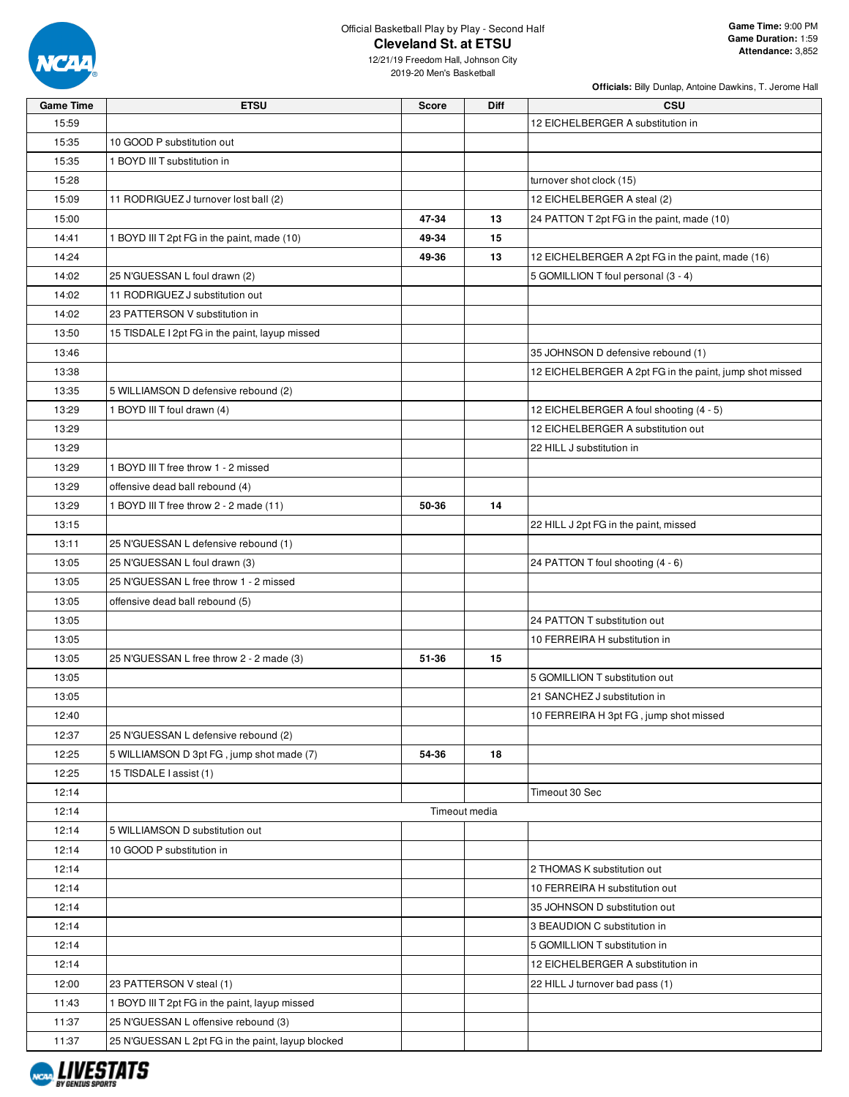

**Officials:** Billy Dunlap, Antoine Dawkins, T. Jerome Hall

| <b>Game Time</b> | <b>ETSU</b>                                       | <b>Score</b> | Diff          | CSU                                                     |
|------------------|---------------------------------------------------|--------------|---------------|---------------------------------------------------------|
| 15:59            |                                                   |              |               | 12 EICHELBERGER A substitution in                       |
| 15:35            | 10 GOOD P substitution out                        |              |               |                                                         |
| 15:35            | 1 BOYD III T substitution in                      |              |               |                                                         |
| 15:28            |                                                   |              |               | turnover shot clock (15)                                |
| 15:09            | 11 RODRIGUEZ J turnover lost ball (2)             |              |               | 12 EICHELBERGER A steal (2)                             |
| 15:00            |                                                   | 47-34        | 13            | 24 PATTON T 2pt FG in the paint, made (10)              |
| 14:41            | 1 BOYD III T 2pt FG in the paint, made (10)       | 49-34        | 15            |                                                         |
| 14:24            |                                                   | 49-36        | 13            | 12 EICHELBERGER A 2pt FG in the paint, made (16)        |
| 14:02            | 25 N'GUESSAN L foul drawn (2)                     |              |               | 5 GOMILLION T foul personal (3 - 4)                     |
| 14:02            | 11 RODRIGUEZ J substitution out                   |              |               |                                                         |
| 14:02            | 23 PATTERSON V substitution in                    |              |               |                                                         |
| 13:50            | 15 TISDALE I 2pt FG in the paint, layup missed    |              |               |                                                         |
| 13:46            |                                                   |              |               | 35 JOHNSON D defensive rebound (1)                      |
| 13:38            |                                                   |              |               | 12 EICHELBERGER A 2pt FG in the paint, jump shot missed |
| 13:35            | 5 WILLIAMSON D defensive rebound (2)              |              |               |                                                         |
| 13:29            | 1 BOYD III T foul drawn (4)                       |              |               | 12 EICHELBERGER A foul shooting (4 - 5)                 |
| 13:29            |                                                   |              |               | 12 EICHELBERGER A substitution out                      |
| 13:29            |                                                   |              |               | 22 HILL J substitution in                               |
| 13:29            | 1 BOYD III T free throw 1 - 2 missed              |              |               |                                                         |
| 13:29            | offensive dead ball rebound (4)                   |              |               |                                                         |
| 13:29            | 1 BOYD III T free throw 2 - 2 made (11)           | 50-36        | 14            |                                                         |
| 13:15            |                                                   |              |               | 22 HILL J 2pt FG in the paint, missed                   |
|                  | 25 N'GUESSAN L defensive rebound (1)              |              |               |                                                         |
| 13:11            |                                                   |              |               |                                                         |
| 13:05            | 25 N'GUESSAN L foul drawn (3)                     |              |               | 24 PATTON T foul shooting (4 - 6)                       |
| 13:05            | 25 N'GUESSAN L free throw 1 - 2 missed            |              |               |                                                         |
| 13:05            | offensive dead ball rebound (5)                   |              |               |                                                         |
| 13:05            |                                                   |              |               | 24 PATTON T substitution out                            |
| 13:05            |                                                   |              |               | 10 FERREIRA H substitution in                           |
| 13:05            | 25 N'GUESSAN L free throw 2 - 2 made (3)          | 51-36        | 15            |                                                         |
| 13:05            |                                                   |              |               | 5 GOMILLION T substitution out                          |
| 13:05            |                                                   |              |               | 21 SANCHEZ J substitution in                            |
| 12:40            |                                                   |              |               | 10 FERREIRA H 3pt FG, jump shot missed                  |
| 12:37            | 25 N'GUESSAN L defensive rebound (2)              |              |               |                                                         |
| 12:25            | 5 WILLIAMSON D 3pt FG, jump shot made (7)         | 54-36        | 18            |                                                         |
| 12:25            | 15 TISDALE I assist (1)                           |              |               |                                                         |
| 12:14            |                                                   |              |               | Timeout 30 Sec                                          |
| 12:14            |                                                   |              | Timeout media |                                                         |
| 12:14            | 5 WILLIAMSON D substitution out                   |              |               |                                                         |
| 12:14            | 10 GOOD P substitution in                         |              |               |                                                         |
| 12:14            |                                                   |              |               | 2 THOMAS K substitution out                             |
| 12:14            |                                                   |              |               | 10 FERREIRA H substitution out                          |
| 12:14            |                                                   |              |               | 35 JOHNSON D substitution out                           |
| 12:14            |                                                   |              |               | 3 BEAUDION C substitution in                            |
| 12:14            |                                                   |              |               | 5 GOMILLION T substitution in                           |
| 12:14            |                                                   |              |               | 12 EICHELBERGER A substitution in                       |
| 12:00            | 23 PATTERSON V steal (1)                          |              |               | 22 HILL J turnover bad pass (1)                         |
| 11:43            | 1 BOYD III T 2pt FG in the paint, layup missed    |              |               |                                                         |
| 11:37            | 25 N'GUESSAN L offensive rebound (3)              |              |               |                                                         |
| 11:37            | 25 N'GUESSAN L 2pt FG in the paint, layup blocked |              |               |                                                         |

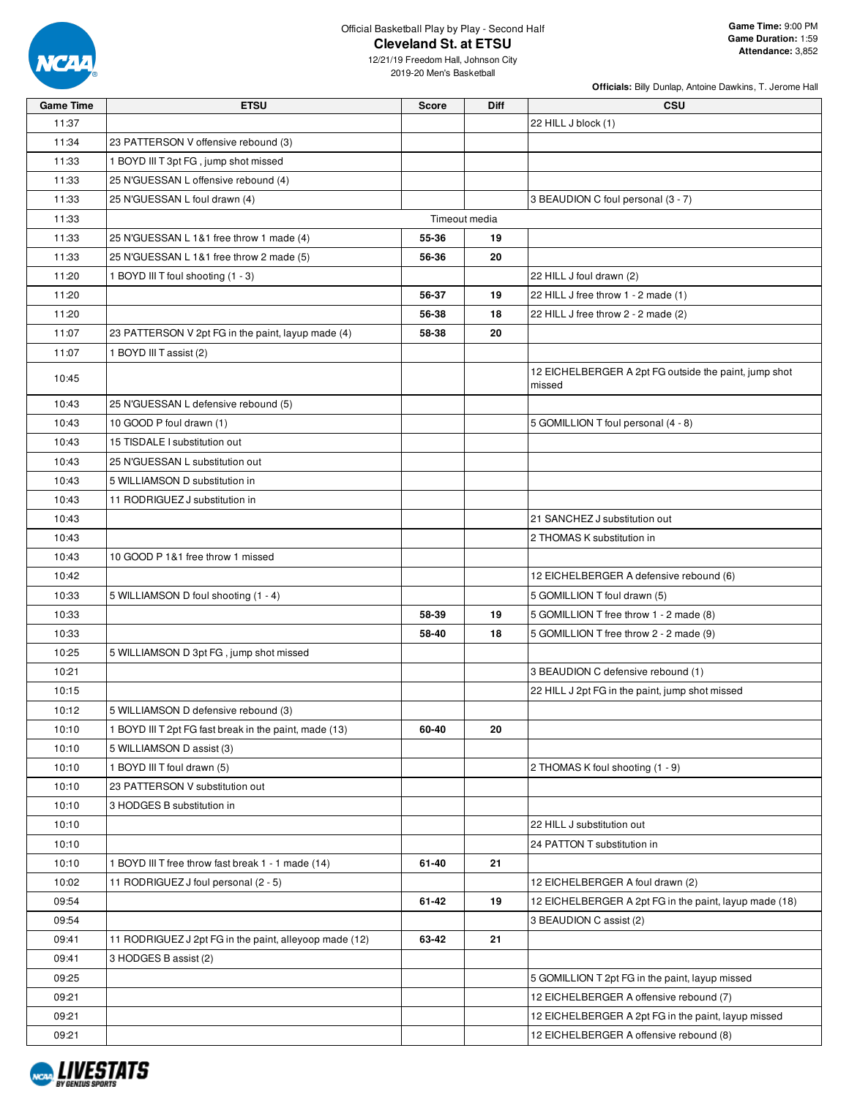

**Officials:** Billy Dunlap, Antoine Dawkins, T. Jerome Hall

| <b>Game Time</b> | <b>ETSU</b>                                            | Score         | Diff | <b>CSU</b>                                                      |
|------------------|--------------------------------------------------------|---------------|------|-----------------------------------------------------------------|
| 11:37            |                                                        |               |      | 22 HILL J block (1)                                             |
| 11:34            | 23 PATTERSON V offensive rebound (3)                   |               |      |                                                                 |
| 11:33            | 1 BOYD III T 3pt FG, jump shot missed                  |               |      |                                                                 |
| 11:33            | 25 N'GUESSAN L offensive rebound (4)                   |               |      |                                                                 |
| 11:33            | 25 N'GUESSAN L foul drawn (4)                          |               |      | 3 BEAUDION C foul personal (3 - 7)                              |
| 11:33            |                                                        | Timeout media |      |                                                                 |
| 11:33            | 25 N'GUESSAN L 1&1 free throw 1 made (4)               | 55-36         | 19   |                                                                 |
| 11:33            | 25 N'GUESSAN L 1&1 free throw 2 made (5)               | 56-36         | 20   |                                                                 |
| 11:20            | 1 BOYD III T foul shooting (1 - 3)                     |               |      | 22 HILL J foul drawn (2)                                        |
| 11:20            |                                                        | 56-37         | 19   | 22 HILL J free throw 1 - 2 made (1)                             |
| 11:20            |                                                        | 56-38         | 18   | 22 HILL J free throw 2 - 2 made (2)                             |
| 11:07            | 23 PATTERSON V 2pt FG in the paint, layup made (4)     | 58-38         | 20   |                                                                 |
| 11:07            | 1 BOYD III T assist (2)                                |               |      |                                                                 |
| 10:45            |                                                        |               |      | 12 EICHELBERGER A 2pt FG outside the paint, jump shot<br>missed |
| 10:43            | 25 N'GUESSAN L defensive rebound (5)                   |               |      |                                                                 |
| 10:43            | 10 GOOD P foul drawn (1)                               |               |      | 5 GOMILLION T foul personal (4 - 8)                             |
| 10:43            | 15 TISDALE I substitution out                          |               |      |                                                                 |
| 10:43            | 25 N'GUESSAN L substitution out                        |               |      |                                                                 |
| 10:43            | 5 WILLIAMSON D substitution in                         |               |      |                                                                 |
| 10:43            | 11 RODRIGUEZ J substitution in                         |               |      |                                                                 |
| 10:43            |                                                        |               |      | 21 SANCHEZ J substitution out                                   |
| 10:43            |                                                        |               |      | 2 THOMAS K substitution in                                      |
| 10:43            | 10 GOOD P 1&1 free throw 1 missed                      |               |      |                                                                 |
| 10:42            |                                                        |               |      | 12 EICHELBERGER A defensive rebound (6)                         |
| 10:33            | 5 WILLIAMSON D foul shooting (1 - 4)                   |               |      | 5 GOMILLION T foul drawn (5)                                    |
| 10:33            |                                                        | 58-39         | 19   | 5 GOMILLION T free throw 1 - 2 made (8)                         |
| 10:33            |                                                        | 58-40         | 18   | 5 GOMILLION T free throw 2 - 2 made (9)                         |
| 10:25            | 5 WILLIAMSON D 3pt FG, jump shot missed                |               |      |                                                                 |
| 10:21            |                                                        |               |      | 3 BEAUDION C defensive rebound (1)                              |
| 10:15            |                                                        |               |      | 22 HILL J 2pt FG in the paint, jump shot missed                 |
| 10:12            | 5 WILLIAMSON D defensive rebound (3)                   |               |      |                                                                 |
| 10:10            | 1 BOYD III T 2pt FG fast break in the paint, made (13) | 60-40         | 20   |                                                                 |
| 10:10            | 5 WILLIAMSON D assist (3)                              |               |      |                                                                 |
| 10:10            | 1 BOYD III T foul drawn (5)                            |               |      | 2 THOMAS K foul shooting (1 - 9)                                |
| 10:10            | 23 PATTERSON V substitution out                        |               |      |                                                                 |
| 10:10            | 3 HODGES B substitution in                             |               |      |                                                                 |
| 10:10            |                                                        |               |      | 22 HILL J substitution out                                      |
| 10:10            |                                                        |               |      | 24 PATTON T substitution in                                     |
| 10:10            | 1 BOYD III T free throw fast break 1 - 1 made (14)     | 61-40         | 21   |                                                                 |
| 10:02            | 11 RODRIGUEZ J foul personal (2 - 5)                   |               |      | 12 EICHELBERGER A foul drawn (2)                                |
| 09:54            |                                                        | 61-42         | 19   | 12 EICHELBERGER A 2pt FG in the paint, layup made (18)          |
| 09:54            |                                                        |               |      | 3 BEAUDION C assist (2)                                         |
| 09:41            | 11 RODRIGUEZ J 2pt FG in the paint, alleyoop made (12) | 63-42         | 21   |                                                                 |
| 09:41            | 3 HODGES B assist (2)                                  |               |      |                                                                 |
| 09:25            |                                                        |               |      | 5 GOMILLION T 2pt FG in the paint, layup missed                 |
| 09:21            |                                                        |               |      | 12 EICHELBERGER A offensive rebound (7)                         |
| 09:21            |                                                        |               |      | 12 EICHELBERGER A 2pt FG in the paint, layup missed             |
| 09:21            |                                                        |               |      | 12 EICHELBERGER A offensive rebound (8)                         |

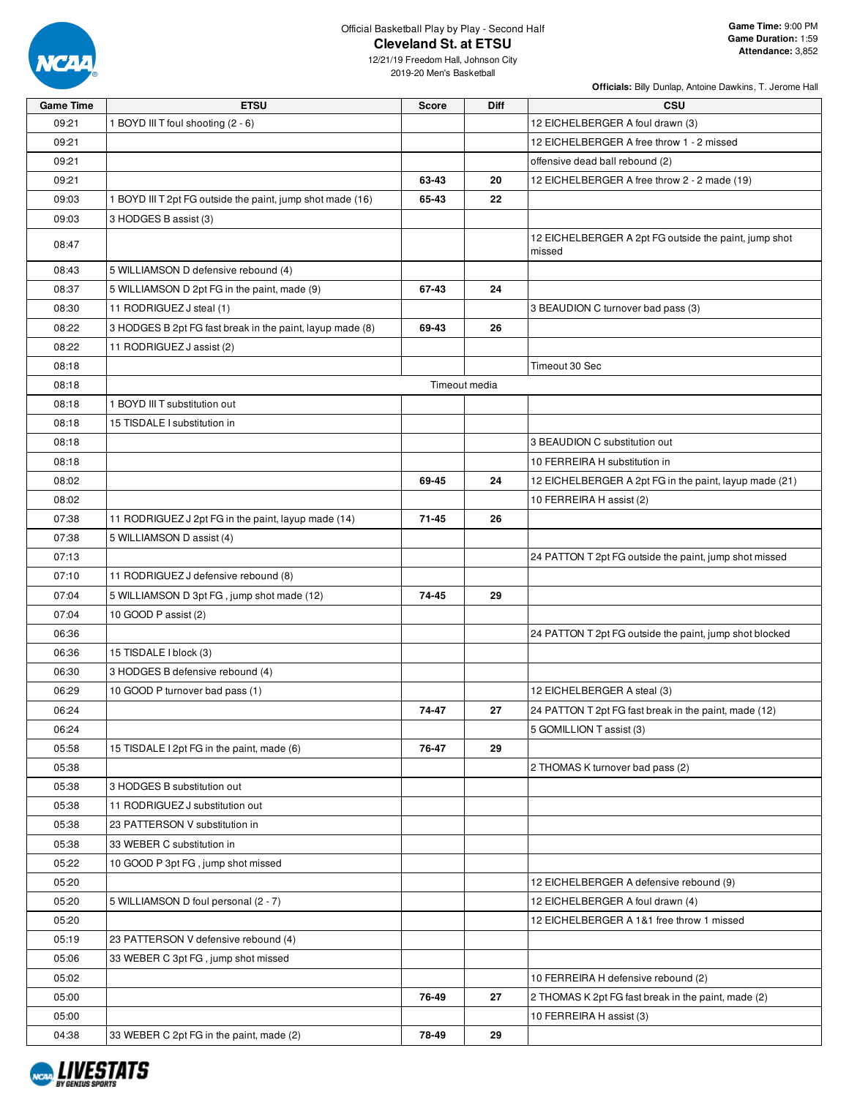

12/21/19 Freedom Hall, Johnson City 2019-20 Men's Basketball

**Officials:** Billy Dunlap, Antoine Dawkins, T. Jerome Hall

| <b>Game Time</b> | <b>ETSU</b>                                                | <b>Score</b> | Diff          | <b>CSU</b>                                                      |
|------------------|------------------------------------------------------------|--------------|---------------|-----------------------------------------------------------------|
| 09:21            | 1 BOYD III T foul shooting (2 - 6)                         |              |               | 12 EICHELBERGER A foul drawn (3)                                |
| 09:21            |                                                            |              |               | 12 EICHELBERGER A free throw 1 - 2 missed                       |
| 09:21            |                                                            |              |               | offensive dead ball rebound (2)                                 |
| 09:21            |                                                            | 63-43        | 20            | 12 EICHELBERGER A free throw 2 - 2 made (19)                    |
| 09:03            | 1 BOYD III T 2pt FG outside the paint, jump shot made (16) | 65-43        | 22            |                                                                 |
| 09:03            | 3 HODGES B assist (3)                                      |              |               |                                                                 |
| 08:47            |                                                            |              |               | 12 EICHELBERGER A 2pt FG outside the paint, jump shot<br>missed |
| 08:43            | 5 WILLIAMSON D defensive rebound (4)                       |              |               |                                                                 |
| 08:37            | 5 WILLIAMSON D 2pt FG in the paint, made (9)               | 67-43        | 24            |                                                                 |
| 08:30            | 11 RODRIGUEZ J steal (1)                                   |              |               | 3 BEAUDION C turnover bad pass (3)                              |
| 08:22            | 3 HODGES B 2pt FG fast break in the paint, layup made (8)  | 69-43        | 26            |                                                                 |
| 08:22            | 11 RODRIGUEZ J assist (2)                                  |              |               |                                                                 |
| 08:18            |                                                            |              |               | Timeout 30 Sec                                                  |
| 08:18            |                                                            |              | Timeout media |                                                                 |
| 08:18            | 1 BOYD III T substitution out                              |              |               |                                                                 |
| 08:18            | 15 TISDALE I substitution in                               |              |               |                                                                 |
| 08:18            |                                                            |              |               | 3 BEAUDION C substitution out                                   |
| 08:18            |                                                            |              |               | 10 FERREIRA H substitution in                                   |
| 08:02            |                                                            | 69-45        | 24            | 12 EICHELBERGER A 2pt FG in the paint, layup made (21)          |
| 08:02            |                                                            |              |               | 10 FERREIRA H assist (2)                                        |
| 07:38            | 11 RODRIGUEZ J 2pt FG in the paint, layup made (14)        | $71 - 45$    | 26            |                                                                 |
| 07:38            | 5 WILLIAMSON D assist (4)                                  |              |               |                                                                 |
| 07:13            |                                                            |              |               | 24 PATTON T 2pt FG outside the paint, jump shot missed          |
| 07:10            | 11 RODRIGUEZ J defensive rebound (8)                       |              |               |                                                                 |
| 07:04            | 5 WILLIAMSON D 3pt FG, jump shot made (12)                 | 74-45        | 29            |                                                                 |
| 07:04            | 10 GOOD P assist (2)                                       |              |               |                                                                 |
| 06:36            |                                                            |              |               | 24 PATTON T 2pt FG outside the paint, jump shot blocked         |
| 06:36            | 15 TISDALE I block (3)                                     |              |               |                                                                 |
| 06:30            | 3 HODGES B defensive rebound (4)                           |              |               |                                                                 |
| 06:29            | 10 GOOD P turnover bad pass (1)                            |              |               | 12 EICHELBERGER A steal (3)                                     |
| 06:24            |                                                            | 74-47        | 27            | 24 PATTON T 2pt FG fast break in the paint, made (12)           |
| 06:24            |                                                            |              |               | 5 GOMILLION T assist (3)                                        |
| 05:58            | 15 TISDALE I 2pt FG in the paint, made (6)                 | 76-47        | 29            |                                                                 |
| 05:38            |                                                            |              |               | 2 THOMAS K turnover bad pass (2)                                |
| 05:38            | 3 HODGES B substitution out                                |              |               |                                                                 |
| 05:38            | 11 RODRIGUEZ J substitution out                            |              |               |                                                                 |
| 05:38            | 23 PATTERSON V substitution in                             |              |               |                                                                 |
| 05:38            | 33 WEBER C substitution in                                 |              |               |                                                                 |
| 05:22            | 10 GOOD P 3pt FG, jump shot missed                         |              |               |                                                                 |
| 05:20            |                                                            |              |               | 12 EICHELBERGER A defensive rebound (9)                         |
| 05:20            | 5 WILLIAMSON D foul personal (2 - 7)                       |              |               | 12 EICHELBERGER A foul drawn (4)                                |
| 05:20            |                                                            |              |               | 12 EICHELBERGER A 1&1 free throw 1 missed                       |
| 05:19            | 23 PATTERSON V defensive rebound (4)                       |              |               |                                                                 |
| 05:06            | 33 WEBER C 3pt FG, jump shot missed                        |              |               |                                                                 |
| 05:02            |                                                            |              |               | 10 FERREIRA H defensive rebound (2)                             |
| 05:00            |                                                            | 76-49        | 27            | 2 THOMAS K 2pt FG fast break in the paint, made (2)             |
| 05:00            |                                                            |              |               | 10 FERREIRA H assist (3)                                        |
| 04:38            | 33 WEBER C 2pt FG in the paint, made (2)                   | 78-49        | 29            |                                                                 |

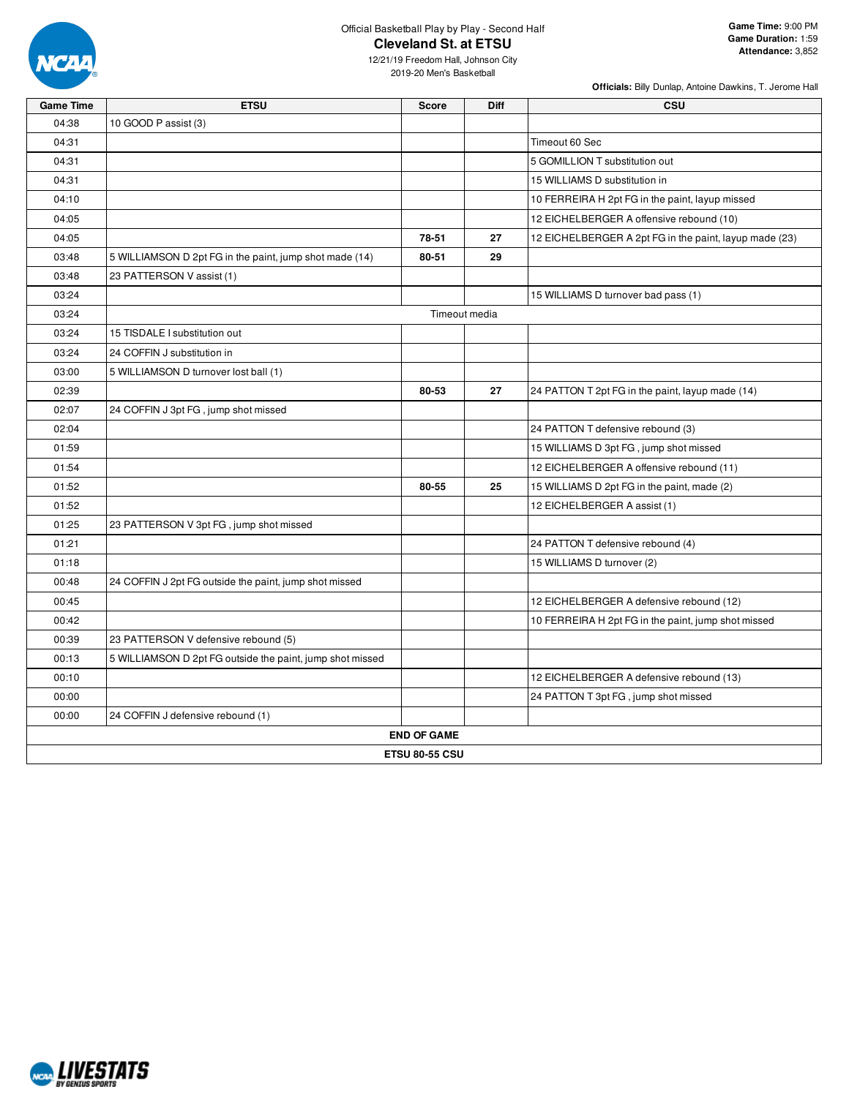

**Officials:** Billy Dunlap, Antoine Dawkins, T. Jerome Hall

| <b>Game Time</b> | <b>ETSU</b>                                               | <b>Score</b>          | <b>Diff</b> | CSU                                                    |
|------------------|-----------------------------------------------------------|-----------------------|-------------|--------------------------------------------------------|
| 04:38            | 10 GOOD P assist (3)                                      |                       |             |                                                        |
| 04:31            |                                                           |                       |             | Timeout 60 Sec                                         |
| 04:31            |                                                           |                       |             | 5 GOMILLION T substitution out                         |
| 04:31            |                                                           |                       |             | 15 WILLIAMS D substitution in                          |
| 04:10            |                                                           |                       |             | 10 FERREIRA H 2pt FG in the paint, layup missed        |
| 04:05            |                                                           |                       |             | 12 EICHELBERGER A offensive rebound (10)               |
| 04:05            |                                                           | 78-51                 | 27          | 12 EICHELBERGER A 2pt FG in the paint, layup made (23) |
| 03:48            | 5 WILLIAMSON D 2pt FG in the paint, jump shot made (14)   | 80-51                 | 29          |                                                        |
| 03:48            | 23 PATTERSON V assist (1)                                 |                       |             |                                                        |
| 03:24            |                                                           |                       |             | 15 WILLIAMS D turnover bad pass (1)                    |
| 03:24            |                                                           | Timeout media         |             |                                                        |
| 03:24            | 15 TISDALE I substitution out                             |                       |             |                                                        |
| 03:24            | 24 COFFIN J substitution in                               |                       |             |                                                        |
| 03:00            | 5 WILLIAMSON D turnover lost ball (1)                     |                       |             |                                                        |
| 02:39            |                                                           | 80-53                 | 27          | 24 PATTON T 2pt FG in the paint, layup made (14)       |
| 02:07            | 24 COFFIN J 3pt FG, jump shot missed                      |                       |             |                                                        |
| 02:04            |                                                           |                       |             | 24 PATTON T defensive rebound (3)                      |
| 01:59            |                                                           |                       |             | 15 WILLIAMS D 3pt FG, jump shot missed                 |
| 01:54            |                                                           |                       |             | 12 EICHELBERGER A offensive rebound (11)               |
| 01:52            |                                                           | 80-55                 | 25          | 15 WILLIAMS D 2pt FG in the paint, made (2)            |
| 01:52            |                                                           |                       |             | 12 EICHELBERGER A assist (1)                           |
| 01:25            | 23 PATTERSON V 3pt FG, jump shot missed                   |                       |             |                                                        |
| 01:21            |                                                           |                       |             | 24 PATTON T defensive rebound (4)                      |
| 01:18            |                                                           |                       |             | 15 WILLIAMS D turnover (2)                             |
| 00:48            | 24 COFFIN J 2pt FG outside the paint, jump shot missed    |                       |             |                                                        |
| 00:45            |                                                           |                       |             | 12 EICHELBERGER A defensive rebound (12)               |
| 00:42            |                                                           |                       |             | 10 FERREIRA H 2pt FG in the paint, jump shot missed    |
| 00:39            | 23 PATTERSON V defensive rebound (5)                      |                       |             |                                                        |
| 00:13            | 5 WILLIAMSON D 2pt FG outside the paint, jump shot missed |                       |             |                                                        |
| 00:10            |                                                           |                       |             | 12 EICHELBERGER A defensive rebound (13)               |
| 00:00            |                                                           |                       |             | 24 PATTON T 3pt FG, jump shot missed                   |
| 00:00            | 24 COFFIN J defensive rebound (1)                         |                       |             |                                                        |
|                  |                                                           | <b>END OF GAME</b>    |             |                                                        |
|                  |                                                           | <b>ETSU 80-55 CSU</b> |             |                                                        |

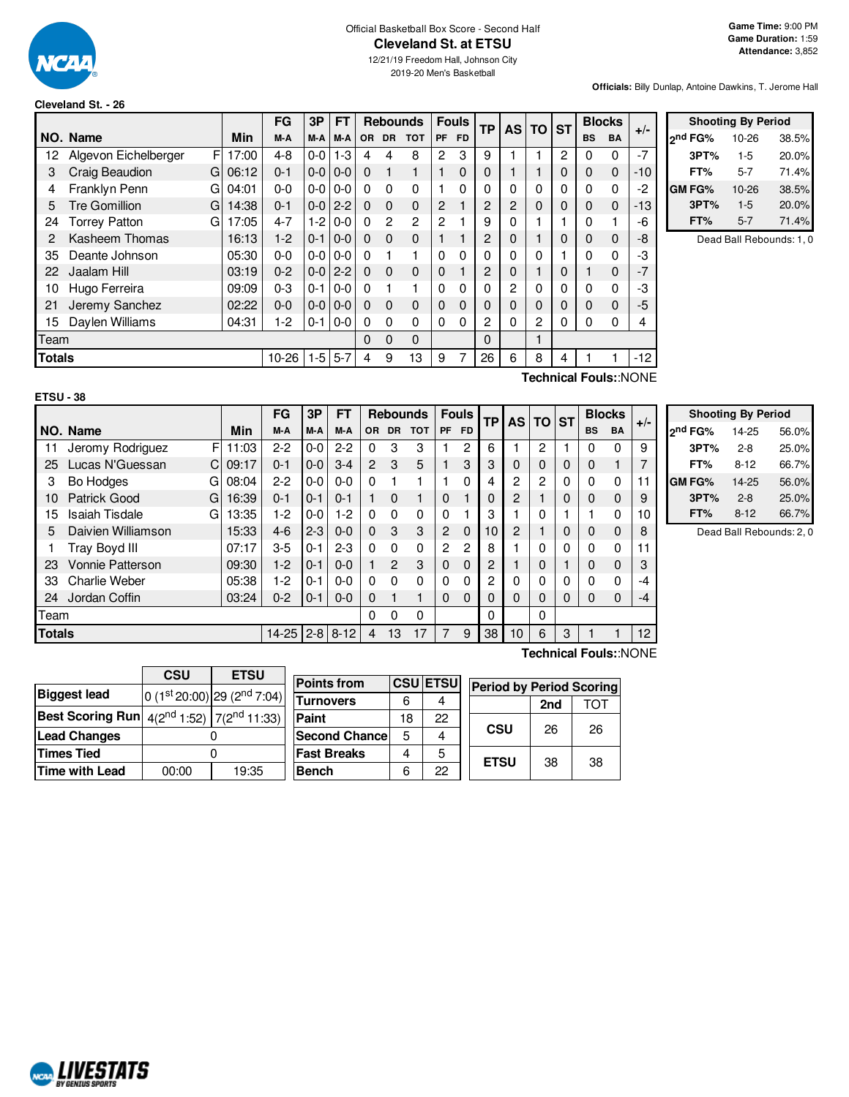

### Official Basketball Box Score - Second Half **Cleveland St. at ETSU**

12/21/19 Freedom Hall, Johnson City 2019-20 Men's Basketball

**Officials:** Billy Dunlap, Antoine Dawkins, T. Jerome Hall

#### **Cleveland St. - 26**

|      |                                                |         | FG      | 3Р      | FT      |           | <b>Rebounds</b> |                |             | <b>Fouls</b> | <b>TP</b> | <b>AS</b>      | <b>TO</b> | <b>ST</b> |           | <b>Blocks</b> | $+/-$ |
|------|------------------------------------------------|---------|---------|---------|---------|-----------|-----------------|----------------|-------------|--------------|-----------|----------------|-----------|-----------|-----------|---------------|-------|
|      | NO. Name                                       | Min     | M-A     | M-A     | M-A     | <b>OR</b> | <b>DR</b>       | <b>TOT</b>     | <b>PF</b>   | <b>FD</b>    |           |                |           |           | <b>BS</b> | <b>BA</b>     |       |
| 12   | F<br>Algevon Eichelberger                      | 17:00   | $4 - 8$ | $0-0$   | $1 - 3$ | 4         | 4               | 8              | 2           | 3            | 9         |                |           | 2         | $\Omega$  | 0             | $-7$  |
| 3    | Craig Beaudion                                 | G106:12 | $0 - 1$ | $0-0$   | $0-0$   | $\Omega$  |                 |                |             | 0            | 0         |                |           | 0         | 0         | 0             | $-10$ |
| 4    | Franklyn Penn<br>GI                            | 04:01   | $0 - 0$ | $0-0$   | $0 - 0$ | 0         | $\Omega$        | 0              |             | 0            | 0         | 0              | 0         | 0         | $\Omega$  | 0             | $-2$  |
| 5    | <b>Tre Gomillion</b><br>G                      | 14:38   | $0 - 1$ | $0 - 0$ | $2 - 2$ | $\Omega$  | $\Omega$        | 0              | 2           |              | 2         | 2              | 0         | 0         | $\Omega$  | $\mathbf 0$   | $-13$ |
| 24   | <b>Torrey Patton</b><br>G                      | 17:05   | $4 - 7$ | $1-2$   | $0-0$   | $\Omega$  | $\mathbf{2}$    | $\overline{2}$ | 2           |              | 9         | 0              |           |           | 0         |               | -6    |
| 2    | Kasheem Thomas                                 | 16:13   | $1-2$   | $0 - 1$ | $0 - 0$ | 0         | $\Omega$        | 0              | 1           |              | 2         | 0              |           | $\Omega$  | 0         | $\mathbf 0$   | -8    |
| 35   | Deante Johnson                                 | 05:30   | $0 - 0$ | $0-0$   | $0-0$   | 0         |                 |                | 0           | 0            | 0         | 0              | 0         |           | 0         | 0             | -3    |
| 22   | Jaalam Hill                                    | 03:19   | $0 - 2$ | $0-0$   | $2 - 2$ | $\Omega$  | $\mathbf 0$     | 0              | $\mathbf 0$ |              | 2         | 0              |           | 0         |           | $\mathbf 0$   | $-7$  |
| 10   | Hugo Ferreira                                  | 09:09   | $0 - 3$ | $0 - 1$ | $0 - 0$ | 0         |                 |                | 0           | 0            | 0         | $\overline{c}$ | $\Omega$  | 0         | $\Omega$  | $\Omega$      | -3    |
| 21   | Jeremy Sanchez                                 | 02:22   | $0 - 0$ | $0-0$   | $0 - 0$ | $\Omega$  | $\Omega$        | 0              | $\mathbf 0$ | 0            | 0         | 0              | 0         | 0         | $\Omega$  | $\mathbf 0$   | $-5$  |
| 15   | Daylen Williams                                | 04:31   | $1-2$   | $0 - 1$ | $0-0$   | $\Omega$  | $\Omega$        | 0              | 0           | 0            | 2         | 0              | 2         | 0         | $\Omega$  | 0             | 4     |
| Team |                                                |         |         |         |         | 0         | 0               | 0              |             |              | $\Omega$  |                |           |           |           |               |       |
|      | $1-5$<br>$5 - 7$<br><b>Totals</b><br>$10 - 26$ |         |         |         |         | 4         | 9               | 13             | 9           |              | 26        | 6              | 8         | 4         |           |               | $-12$ |
|      | Technical Fouls::NONE                          |         |         |         |         |           |                 |                |             |              |           |                |           |           |           |               |       |

| <b>Shooting By Period</b> |       |
|---------------------------|-------|
| $10 - 26$                 | 38.5% |
| $1-5$                     | 20.0% |
| $5 - 7$                   | 71.4% |
| 10-26                     | 38.5% |
| $1-5$                     | 20.0% |
| $5 - 7$                   | 71.4% |
|                           |       |

Dead Ball Rebounds: 1, 0

#### **ETSU - 38**

F 11:03 C 09:17 G 08:04 G 16:39 G 13:35 **NO.** Name Min **FG 3P FT Rebounds Fouls TP AS TO ST**  $\begin{bmatrix} \mathsf{FG} & 3\mathsf{P} \\ \mathsf{M-A} & \mathsf{M-A} \end{bmatrix}$  or dr total  $\begin{bmatrix} \mathsf{F} & \mathsf{F} & \mathsf{F} \\ \mathsf{F} & \mathsf{F} & \mathsf{F} \end{bmatrix}$   $\begin{bmatrix} \mathsf{TP} & \mathsf{AS} \\ \mathsf{AS} & \mathsf{DT} \end{bmatrix}$   $\begin{bmatrix} \mathsf{ST} & \mathsf{BlockS} \\ \mathsf{BS} & \mathsf{BA} \end{bmatrix}$  +/-11 Jeromy Rodriguez F | 11:03 | 2-2 | 0-0 | 2-2 | 0  $\,$  3  $\,$  3 | 1  $\,$  2 | 6 | 1 | 2 | 1 | 0  $\,$  0 | 9 25 Lucas N'Guessan  $C \mid 09:17 \mid 0-1 \mid 0-0 \mid 3-4 \mid 2 \mid 3 \mid 5 \mid 1 \mid 3 \mid 3 \mid 0 \mid 0 \mid 0 \mid 1 \mid 7$ 3 Bo Hodges G | 08:04 | 2-2 | 0-0 | 0-0 | 0 1 1 | 1 0 | 4 | 2 | 2 | 0 | 0 0 | 11 10 Patrick Good G | 16:39 | 0-1 | 0-1 | 0-1 | 1 0 1 | 0 1 | 0 | 2 | 1 | 0 | 0 | 0 | 9 15 Isaiah Tisdale 13:35 | 1-2 | 0-0 | 1-2 | 0 0 0 0 0 0 1 | 3 | 1 | 0 | 1 | 1 0 | 10 5 Daivien Williamson | 15:33 | 4-6 | 2-3 | 0-0 | 0  $\,$  3  $\,$  3 | 2  $\,$  0 | 10 | 2 | 1 | 0 | 0  $\,$  0 | 8 1 Tray Boyd III | 07:17 | 3-5 | 0-1 | 2-3 | 0 0 0 | 2 2 | 8 | 1 | 0 | 0 | 0 | 0 | 11 23 Vonnie Patterson 09:30 1-2 0-1 0-0 1 2 3 0 0 2 1 0 1 0 0 3 33 Charlie Weber | 05:38 | 1-2 | 0-1 | 0-0 | 0  $\,$  0  $\,$  | 0  $\,$  0  $\,$  | 2 | 0 | 0 | 0 | 0 | 0 | 0 | -4 24 Jordan Coffin 03:24 0-2 0-1 0-0 0 1 1 0 0 0 0 0 0 0 0 -4

**Totals** 14-25 2-8 8-12 4 13 17 | 7 9 | 38 | 10 | 6 | 3 | 1 1 | 12

Team 0 0 0 0 0

|                     | <b>Shooting By Period</b> |       |
|---------------------|---------------------------|-------|
| 2 <sup>nd</sup> FG% | 14-25                     | 56.0% |
| 3PT%                | $2 - 8$                   | 25.0% |
| FT%                 | $8 - 12$                  | 66.7% |
| GM FG%              | 14-25                     | 56.0% |
| 3PT%                | $2 - 8$                   | 25.0% |
| FT%                 | $8 - 12$                  | 66.7% |

Dead Ball Rebounds: 2, 0

|                                                                         | <b>CSU</b> | <b>ETSU</b>                                                 |
|-------------------------------------------------------------------------|------------|-------------------------------------------------------------|
| <b>Biggest lead</b>                                                     |            | $\left  0 \right. (1^{st} 20:00)$ 29 (2 <sup>nd</sup> 7:04) |
| <b>Best Scoring Run</b> $\left  4(2^{nd} 1:52) \right  7(2^{nd} 11:33)$ |            |                                                             |
| <b>Lead Changes</b>                                                     |            |                                                             |
| <b>Times Tied</b>                                                       |            |                                                             |
| Time with Lead                                                          | 00:00      | 19:35                                                       |

| <b>Points from</b>    |    | <b>CSU ETSU</b> |  |
|-----------------------|----|-----------------|--|
| Turnovers             | 6  |                 |  |
| Paint                 | 18 | 22              |  |
| <b>Second Chancel</b> | 5  |                 |  |
| <b>Fast Breaks</b>    |    | 5               |  |
| <b>Bench</b>          | հ  | 22              |  |

**Technical Fouls:**:NONE

| ນ: | <b>Period by Period Scoring</b> |     |     |
|----|---------------------------------|-----|-----|
|    |                                 | 2nd | TOT |
|    | CSU                             | 26  | 26  |
|    | <b>ETSU</b>                     | 38  | 38  |

# **ALIVESTATS RV GENTUS S**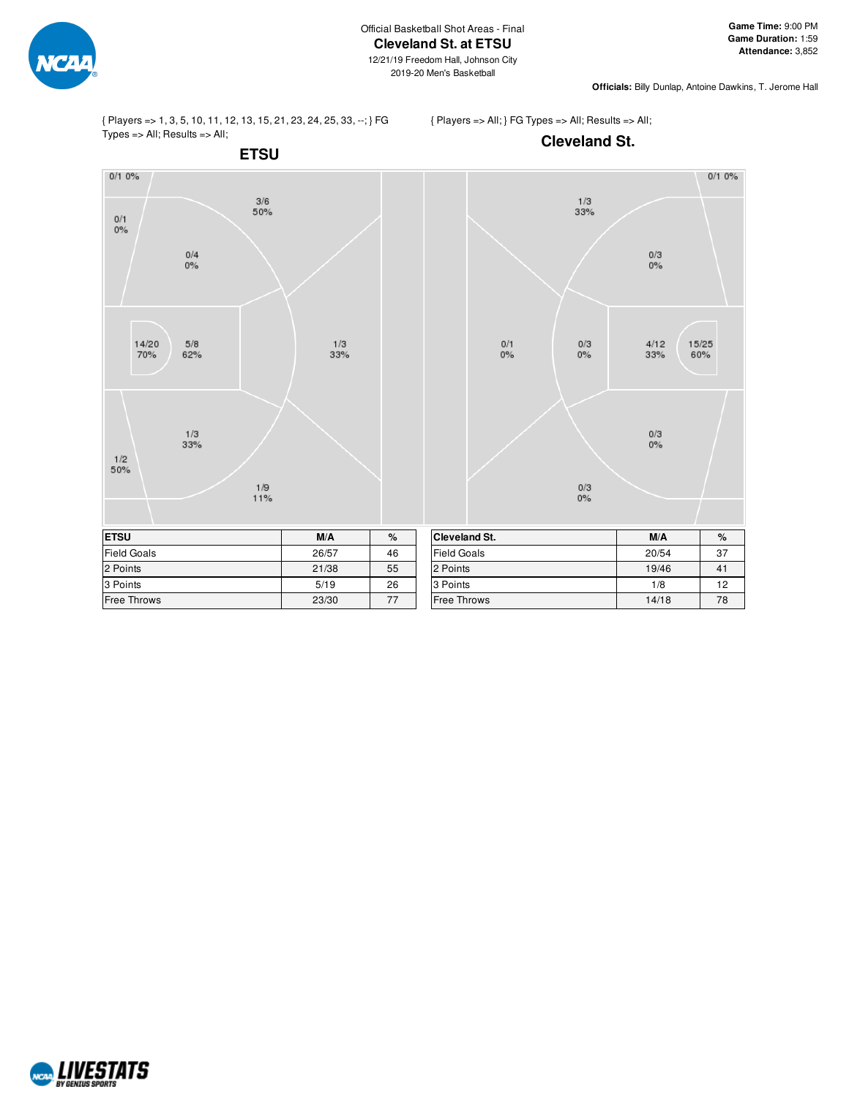

**Officials:** Billy Dunlap, Antoine Dawkins, T. Jerome Hall

{ Players => 1, 3, 5, 10, 11, 12, 13, 15, 21, 23, 24, 25, 33, --; } FG  $Types = > All; Results = > All;$ 

{ Players => All; } FG Types => All; Results => All;

**Cleveland St.**

**ETSU**  $0/10%$  $\frac{3/6}{50\%}$  $0/1$  $0\%$  $\frac{0}{4}$ <br>0%  $14/20$  $5/8$  $1/3$ 70% 62% 33%  $\frac{1}{3}$ <br>33%  $\frac{1/2}{50\%}$  $\frac{1/9}{11%}$ **ETSU M/A %** Field Goals 26/57 46 2 Points 21/38 55 3 Points 26

Free Throws 23/30 77



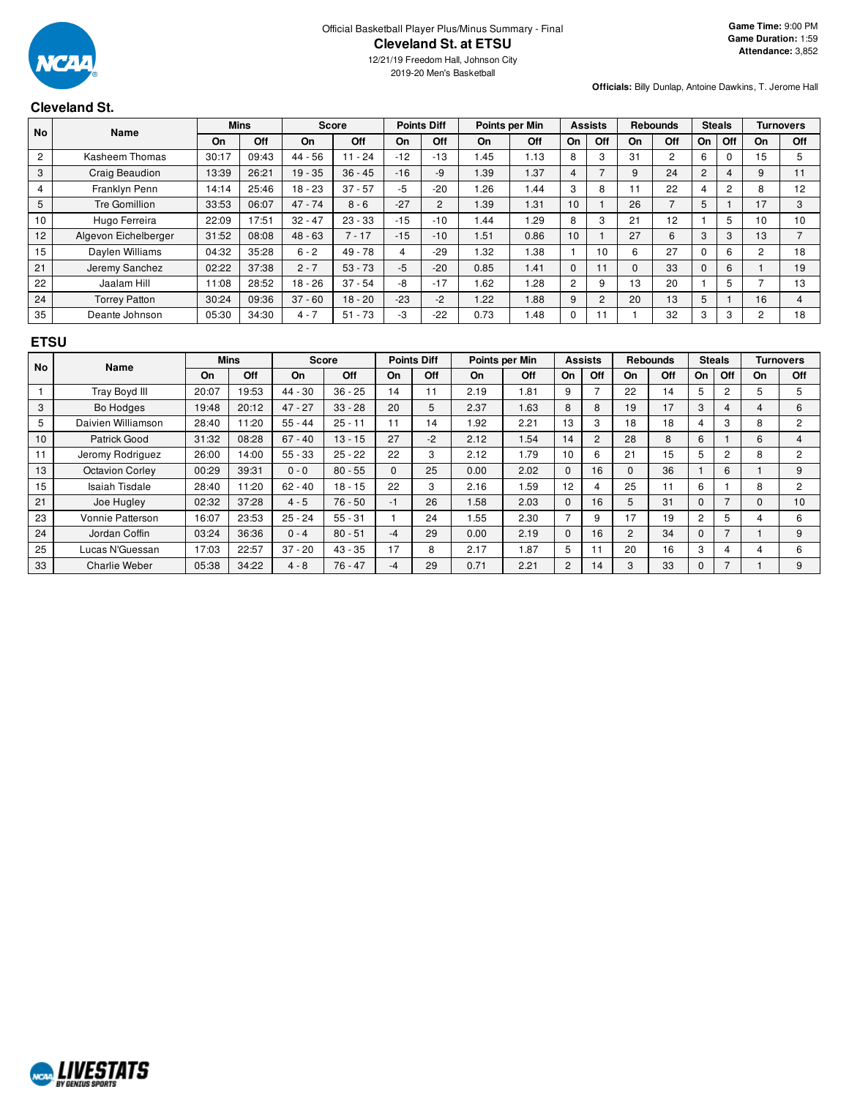

**Officials:** Billy Dunlap, Antoine Dawkins, T. Jerome Hall

## **Cleveland St.**

| <b>No</b>      | Name                 |       | <b>Mins</b> |           | <b>Score</b> |       | <b>Points Diff</b> |      | Points per Min |                | <b>Assists</b> |          | <b>Rebounds</b> |                | <b>Steals</b>  |                | <b>Turnovers</b> |
|----------------|----------------------|-------|-------------|-----------|--------------|-------|--------------------|------|----------------|----------------|----------------|----------|-----------------|----------------|----------------|----------------|------------------|
|                |                      | On    | Off         | On        | Off          | On    | <b>Off</b>         | On   | Off            | On             | Off            | On       | Off             | On             | <b>Off</b>     | On             | Off              |
| $\overline{c}$ | Kasheem Thomas       | 30:17 | 09:43       | $44 - 56$ | $11 - 24$    | $-12$ | $-13$              | l.45 | 1.13           | 8              | 3              | 31       | $\overline{2}$  | 6              | $\Omega$       | 15             | 5                |
| 3              | Craig Beaudion       | 13:39 | 26:21       | $19 - 35$ | $36 - 45$    | $-16$ | -9                 | 1.39 | 1.37           | 4              |                |          | 24              | $\overline{2}$ | 4              | 9              | 11               |
| 4              | Franklyn Penn        | 14:14 | 25:46       | $18 - 23$ | $37 - 57$    | -5    | $-20$              | 1.26 | 1.44           | 3              | 8              | 11       | 22              | 4              | $\overline{2}$ | 8              | 12               |
| 5              | Tre Gomillion        | 33:53 | 06:07       | $47 - 74$ | $8 - 6$      | $-27$ | $\overline{2}$     | 1.39 | 1.31           | 10             |                | 26       |                 | 5              |                | 17             | 3                |
| 10             | Hugo Ferreira        | 22:09 | 17:51       | $32 - 47$ | $23 - 33$    | $-15$ | $-10$              | 1.44 | .29            | 8              | 3              | 21       | 12 <sup>2</sup> |                | 5              | 10             | 10               |
| 12             | Algevon Eichelberger | 31:52 | 08:08       | $48 - 63$ | $7 - 17$     | $-15$ | $-10$              | .51  | 0.86           | 10             |                | 27       | 6               | 3              | 3              | 13             |                  |
| 15             | Daylen Williams      | 04:32 | 35:28       | $6 - 2$   | $49 - 78$    |       | $-29$              | 1.32 | 1.38           |                | 10             | 6        | 27              |                | 6              | $\overline{2}$ | 18               |
| 21             | Jeremy Sanchez       | 02:22 | 37:38       | $2 - 7$   | $53 - 73$    | $-5$  | $-20$              | 0.85 | 1.41           | $\Omega$       | 11             | $\Omega$ | 33              | 0              | 6              |                | 19               |
| 22             | Jaalam Hill          | 11:08 | 28:52       | $18 - 26$ | $37 - 54$    | -8    | $-17$              | . 62 | .28            | $\overline{2}$ | 9              | 13       | 20              |                | 5              |                | 13               |
| 24             | <b>Torrey Patton</b> | 30:24 | 09:36       | $37 - 60$ | $18 - 20$    | $-23$ | $-2$               | 1.22 | 1.88           | 9              | $\overline{c}$ | 20       | 13              | 5              |                | 16             |                  |
| 35             | Deante Johnson       | 05:30 | 34:30       | $4 - 7$   | $51 - 73$    | -3    | $-22$              | 0.73 | .48            |                | -1             |          | 32              | 3              | 3              |                | 18               |

## **ETSU**

| <b>No</b> | Name                   | <b>Mins</b><br><b>Score</b><br><b>Points Diff</b> |       |           |           | Points per Min<br><b>Assists</b> |      |      |            | <b>Rebounds</b> |     | <b>Steals</b>  | Turnovers |                |                          |           |                |
|-----------|------------------------|---------------------------------------------------|-------|-----------|-----------|----------------------------------|------|------|------------|-----------------|-----|----------------|-----------|----------------|--------------------------|-----------|----------------|
|           |                        | On                                                | Off   | <b>On</b> | Off       | On                               | Off  | On   | <b>Off</b> | On              | Off | On             | Off       | On             | Off                      | <b>On</b> | <b>Off</b>     |
|           | Tray Boyd III          | 20:07                                             | 19:53 | $44 - 30$ | $36 - 25$ | 14                               | 11   | 2.19 | .81        | 9               |     | 22             | 14        | 5              | 2                        | .h        | 5              |
| 3         | Bo Hodges              | 19:48                                             | 20:12 | $47 - 27$ | $33 - 28$ | 20                               | 5    | 2.37 | 1.63       | 8               | 8   | 19             | 17        | 3              | 4                        | 4         | 6              |
| 5         | Daivien Williamson     | 28:40                                             | 11:20 | $55 - 44$ | $25 - 11$ | 11                               | 14   | 1.92 | 2.21       | 13              | 3   | 18             | 18        | 4              | 3                        | 8         | $\overline{2}$ |
| 10        | Patrick Good           | 31:32                                             | 08:28 | $67 - 40$ | $13 - 15$ | 27                               | $-2$ | 2.12 | .54        | 14              | 2   | 28             | 8         | 6              |                          | 6         | 4              |
| 11        | Jeromy Rodriguez       | 26:00                                             | 14:00 | $55 - 33$ | $25 - 22$ | 22                               | 3    | 2.12 | I.79       | 10              | 6   | 21             | 15        | 5              | 2                        | 8         | $\overline{2}$ |
| 13        | <b>Octavion Corlev</b> | 00:29                                             | 39:31 | $0 - 0$   | $80 - 55$ | $\Omega$                         | 25   | 0.00 | 2.02       | 0               | 16  |                | 36        |                | 6                        |           | 9              |
| 15        | <b>Isaiah Tisdale</b>  | 28:40                                             | 11:20 | $62 - 40$ | $18 - 15$ | 22                               | 3    | 2.16 | .59        | 12              |     | 25             | 11        | 6              |                          | 8         | $\mathcal{P}$  |
| 21        | Joe Hugley             | 02:32                                             | 37:28 | $4 - 5$   | $76 - 50$ | $-1$                             | 26   | 1.58 | 2.03       | $\Omega$        | 16  | 5              | 31        | $\Omega$       | $\overline{\phantom{a}}$ | 0         | 10             |
| 23        | Vonnie Patterson       | 16:07                                             | 23:53 | $25 - 24$ | $55 - 31$ |                                  | 24   | 1.55 | 2.30       |                 | 9   | 17             | 19        | $\overline{2}$ | 5                        | 4         | 6              |
| 24        | Jordan Coffin          | 03:24                                             | 36:36 | $0 - 4$   | $80 - 51$ | -4                               | 29   | 0.00 | 2.19       | $\Omega$        | 16  | $\overline{2}$ | 34        | $\Omega$       | 7                        |           | 9              |
| 25        | Lucas N'Guessan        | 17:03                                             | 22:57 | $37 - 20$ | $43 - 35$ | 17                               | 8    | 2.17 | i 87       | 5               |     | 20             | 16        | 3              | 4                        |           | 6              |
| 33        | <b>Charlie Weber</b>   | 05:38                                             | 34:22 | $4 - 8$   | $76 - 47$ | -4                               | 29   | 0.71 | 2.21       | $\overline{2}$  | 14  | 3              | 33        | 0              | 7                        |           | 9              |

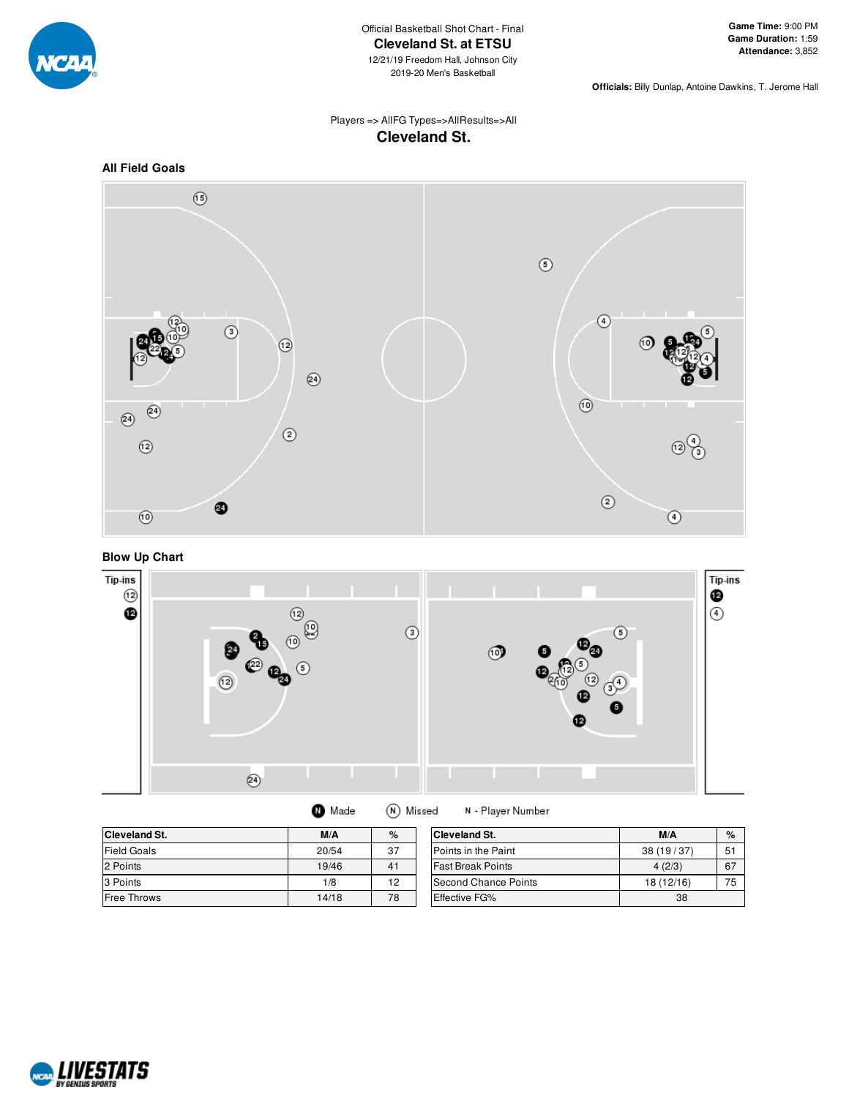

**Officials:** Billy Dunlap, Antoine Dawkins, T. Jerome Hall

## Players => AllFG Types=>AllResults=>All **Cleveland St.**







| <b>Cleveland St.</b> | M/A   | %  | <b>Cleveland St.</b>     | M/A        | $\%$ |
|----------------------|-------|----|--------------------------|------------|------|
| <b>Field Goals</b>   | 20/54 | 37 | Points in the Paint      | 38(19/37)  | 51   |
| 2 Points             | 19/46 | 41 | <b>Fast Break Points</b> | 4(2/3)     | 67   |
| 3 Points             | 1/8   | 12 | Second Chance Points     | 18 (12/16) | 75   |
| <b>Free Throws</b>   | 14/18 | 78 | <b>Effective FG%</b>     | 38         |      |

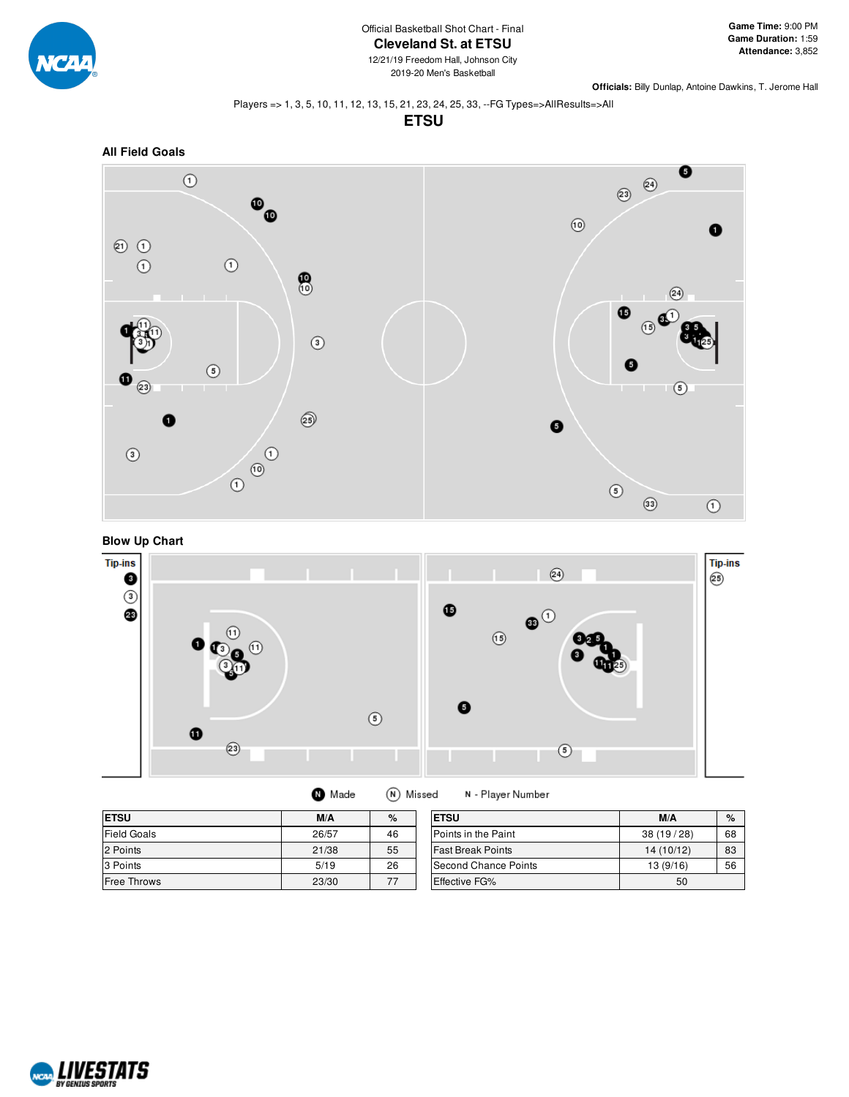

**Officials:** Billy Dunlap, Antoine Dawkins, T. Jerome Hall

### Players => 1, 3, 5, 10, 11, 12, 13, 15, 21, 23, 24, 25, 33, --FG Types=>AllResults=>All

**ETSU**







(N) Missed **O** Made

N - Player Number

| <b>ETSU</b>        | M/A   | %  | <b>ETSU</b>              | M/A        | $\%$ |
|--------------------|-------|----|--------------------------|------------|------|
| <b>Field Goals</b> | 26/57 | 46 | Points in the Paint      | 38(19/28)  | 68   |
| 2 Points           | 21/38 | 55 | <b>Fast Break Points</b> | 14 (10/12) | 83   |
| 3 Points           | 5/19  | 26 | Second Chance Points     | 13(9/16)   | 56   |
| <b>Free Throws</b> | 23/30 | 77 | <b>Effective FG%</b>     | 50         |      |

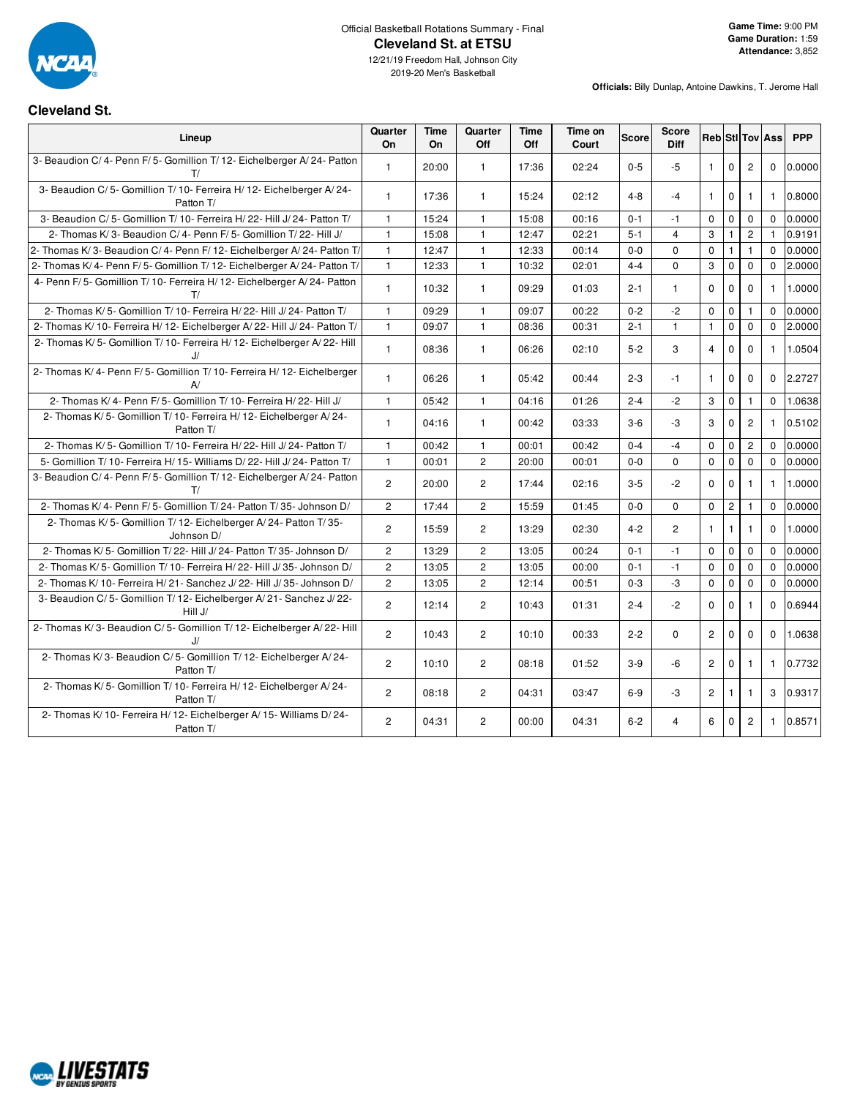

## Official Basketball Rotations Summary - Final **Cleveland St. at ETSU**

#### **Officials:** Billy Dunlap, Antoine Dawkins, T. Jerome Hall

## **Cleveland St.**

| Lineup                                                                          | Quarter<br>On  | Time<br>On | Quarter<br>Off | Time<br>Off | Time on<br>Court | <b>Score</b> | Score<br><b>Diff</b> |                |              |                | <b>Reb</b> Stl Tov Ass | <b>PPP</b> |
|---------------------------------------------------------------------------------|----------------|------------|----------------|-------------|------------------|--------------|----------------------|----------------|--------------|----------------|------------------------|------------|
| 3- Beaudion C/4- Penn F/5- Gomillion T/12- Eichelberger A/24- Patton<br>T/      | $\mathbf{1}$   | 20:00      | $\mathbf{1}$   | 17:36       | 02:24            | $0 - 5$      | $-5$                 | $\mathbf{1}$   | $\mathbf 0$  | $\overline{c}$ | $\mathbf 0$            | 0.0000     |
| 3- Beaudion C/5- Gomillion T/10- Ferreira H/12- Eichelberger A/24-<br>Patton T/ | $\mathbf{1}$   | 17:36      | $\mathbf{1}$   | 15:24       | 02:12            | $4 - 8$      | $-4$                 | $\mathbf{1}$   | $\mathbf 0$  | $\mathbf{1}$   | $\mathbf{1}$           | 0.8000     |
| 3- Beaudion C/5- Gomillion T/10- Ferreira H/22- Hill J/24- Patton T/            | $\mathbf{1}$   | 15:24      | $\mathbf{1}$   | 15:08       | 00:16            | $0 - 1$      | $-1$                 | $\mathbf 0$    | $\mathbf 0$  | $\mathbf 0$    | $\Omega$               | 0.0000     |
| 2- Thomas K/3- Beaudion C/4- Penn F/5- Gomillion T/22- Hill J/                  | $\mathbf{1}$   | 15:08      | $\mathbf{1}$   | 12:47       | 02:21            | $5 - 1$      | $\overline{4}$       | 3              | 1            | $\overline{2}$ | $\mathbf{1}$           | 0.9191     |
| 2- Thomas K/3- Beaudion C/4- Penn F/12- Eichelberger A/24- Patton T/            | $\mathbf{1}$   | 12:47      | $\mathbf{1}$   | 12:33       | 00:14            | $0-0$        | $\mathbf 0$          | $\mathbf 0$    | $\mathbf{1}$ | $\mathbf{1}$   | $\Omega$               | 0.0000     |
| 2- Thomas K/4- Penn F/5- Gomillion T/12- Eichelberger A/24- Patton T/           | $\mathbf{1}$   | 12:33      | $\mathbf{1}$   | 10:32       | 02:01            | $4 - 4$      | $\Omega$             | 3              | $\mathbf 0$  | $\mathbf 0$    | $\Omega$               | 2.0000     |
| 4- Penn F/5- Gomillion T/10- Ferreira H/12- Eichelberger A/24- Patton<br>T/     | $\mathbf{1}$   | 10:32      | $\mathbf{1}$   | 09:29       | 01:03            | $2 - 1$      | $\mathbf{1}$         | $\Omega$       | $\mathbf 0$  | $\mathbf 0$    | $\mathbf{1}$           | 1.0000     |
| 2- Thomas K/ 5- Gomillion T/ 10- Ferreira H/ 22- Hill J/ 24- Patton T/          | $\mathbf{1}$   | 09:29      | $\mathbf{1}$   | 09:07       | 00:22            | $0 - 2$      | $-2$                 | $\Omega$       | $\mathbf 0$  | $\mathbf{1}$   | $\Omega$               | 0.0000     |
| 2- Thomas K/ 10- Ferreira H/ 12- Eichelberger A/ 22- Hill J/ 24- Patton T/      | $\mathbf{1}$   | 09:07      | $\mathbf{1}$   | 08:36       | 00:31            | $2 - 1$      | $\mathbf{1}$         | $\mathbf{1}$   | $\mathbf 0$  | $\mathbf 0$    | $\mathbf 0$            | 2.0000     |
| 2- Thomas K/5- Gomillion T/10- Ferreira H/12- Eichelberger A/22- Hill<br>J/     | $\mathbf{1}$   | 08:36      | $\mathbf{1}$   | 06:26       | 02:10            | $5-2$        | 3                    | $\overline{4}$ | $\Omega$     | $\mathbf 0$    | $\mathbf{1}$           | 1.0504     |
| 2- Thomas K/ 4- Penn F/ 5- Gomillion T/ 10- Ferreira H/ 12- Eichelberger<br>A/  | $\mathbf{1}$   | 06:26      | $\mathbf{1}$   | 05:42       | 00:44            | $2 - 3$      | $-1$                 | $\mathbf{1}$   | $\mathbf 0$  | $\mathbf 0$    | $\mathbf 0$            | 2.2727     |
| 2- Thomas K/ 4- Penn F/ 5- Gomillion T/ 10- Ferreira H/ 22- Hill J/             | $\mathbf{1}$   | 05:42      | $\mathbf{1}$   | 04:16       | 01:26            | $2 - 4$      | $-2$                 | 3              | $\mathbf 0$  | $\mathbf{1}$   | $\Omega$               | 1.0638     |
| 2- Thomas K/5- Gomillion T/10- Ferreira H/12- Eichelberger A/24-<br>Patton T/   | $\mathbf{1}$   | 04:16      | $\mathbf{1}$   | 00:42       | 03:33            | $3-6$        | $-3$                 | 3              | $\mathbf 0$  | $\overline{2}$ | $\mathbf{1}$           | 0.5102     |
| 2- Thomas K/ 5- Gomillion T/ 10- Ferreira H/ 22- Hill J/ 24- Patton T/          | $\mathbf{1}$   | 00:42      | $\mathbf{1}$   | 00:01       | 00:42            | $0 - 4$      | $-4$                 | $\mathbf 0$    | $\mathbf 0$  | $\mathbf{2}$   | $\Omega$               | 0.0000     |
| 5- Gomillion T/10- Ferreira H/15- Williams D/22- Hill J/24- Patton T/           | $\mathbf{1}$   | 00:01      | $\overline{2}$ | 20:00       | 00:01            | $0 - 0$      | $\mathbf 0$          | $\mathbf 0$    | $\mathbf 0$  | $\mathbf 0$    | $\mathbf{0}$           | 0.0000     |
| 3- Beaudion C/4- Penn F/5- Gomillion T/12- Eichelberger A/24- Patton<br>T/      | $\overline{c}$ | 20:00      | $\overline{2}$ | 17:44       | 02:16            | $3-5$        | $-2$                 | $\mathbf 0$    | $\mathbf 0$  | $\mathbf{1}$   | $\mathbf{1}$           | 1.0000     |
| 2- Thomas K/ 4- Penn F/ 5- Gomillion T/ 24- Patton T/ 35- Johnson D/            | $\overline{c}$ | 17:44      | $\overline{2}$ | 15:59       | 01:45            | $0 - 0$      | $\mathbf 0$          | $\mathbf 0$    | $\mathbf{2}$ | $\mathbf{1}$   | $\Omega$               | 0.0000     |
| 2- Thomas K/5- Gomillion T/12- Eichelberger A/24- Patton T/35-<br>Johnson D/    | $\overline{2}$ | 15:59      | $\overline{c}$ | 13:29       | 02:30            | $4 - 2$      | $\overline{c}$       | $\mathbf{1}$   | $\mathbf{1}$ | 1              | $\Omega$               | 1.0000     |
| 2- Thomas K/ 5- Gomillion T/ 22- Hill J/ 24- Patton T/ 35- Johnson D/           | $\overline{2}$ | 13:29      | $\overline{2}$ | 13:05       | 00:24            | $0 - 1$      | $-1$                 | $\Omega$       | $\mathbf 0$  | $\Omega$       | $\Omega$               | 0.0000     |
| 2- Thomas K/ 5- Gomillion T/ 10- Ferreira H/ 22- Hill J/ 35- Johnson D/         | $\overline{c}$ | 13:05      | $\overline{2}$ | 13:05       | 00:00            | $0 - 1$      | $-1$                 | $\mathbf 0$    | $\mathbf 0$  | $\mathbf 0$    | $\Omega$               | 0.0000     |
| 2- Thomas K/ 10- Ferreira H/ 21- Sanchez J/ 22- Hill J/ 35- Johnson D/          | $\overline{2}$ | 13:05      | $\overline{c}$ | 12:14       | 00:51            | $0 - 3$      | $-3$                 | $\mathbf 0$    | $\mathbf 0$  | $\mathbf 0$    | $\mathbf 0$            | 0.0000     |
| 3- Beaudion C/5- Gomillion T/12- Eichelberger A/21- Sanchez J/22-<br>Hill J/    | $\overline{2}$ | 12:14      | $\overline{2}$ | 10:43       | 01:31            | $2 - 4$      | $-2$                 | $\Omega$       | $\mathbf 0$  | $\mathbf{1}$   | $\Omega$               | 0.6944     |
| 2- Thomas K/3- Beaudion C/5- Gomillion T/12- Eichelberger A/22- Hill<br>IJ      | $\overline{2}$ | 10:43      | $\overline{c}$ | 10:10       | 00:33            | $2 - 2$      | $\mathbf 0$          | $\overline{2}$ | $\mathbf 0$  | $\mathbf{0}$   | $\Omega$               | 1.0638     |
| 2- Thomas K/3- Beaudion C/5- Gomillion T/12- Eichelberger A/24-<br>Patton T/    | $\overline{2}$ | 10:10      | $\overline{2}$ | 08:18       | 01:52            | $3-9$        | $-6$                 | $\overline{2}$ | $\mathbf 0$  | $\mathbf{1}$   | $\mathbf{1}$           | 0.7732     |
| 2- Thomas K/5- Gomillion T/10- Ferreira H/12- Eichelberger A/24-<br>Patton T/   | $\overline{2}$ | 08:18      | $\overline{2}$ | 04:31       | 03:47            | $6-9$        | $-3$                 | $\mathbf{2}$   | 1            | $\mathbf{1}$   | 3                      | 0.9317     |
| 2- Thomas K/10- Ferreira H/12- Eichelberger A/15- Williams D/24-<br>Patton T/   | $\overline{2}$ | 04:31      | $\overline{2}$ | 00:00       | 04:31            | $6 - 2$      | 4                    | 6              | $\mathbf 0$  | $\overline{2}$ | $\mathbf{1}$           | 0.8571     |

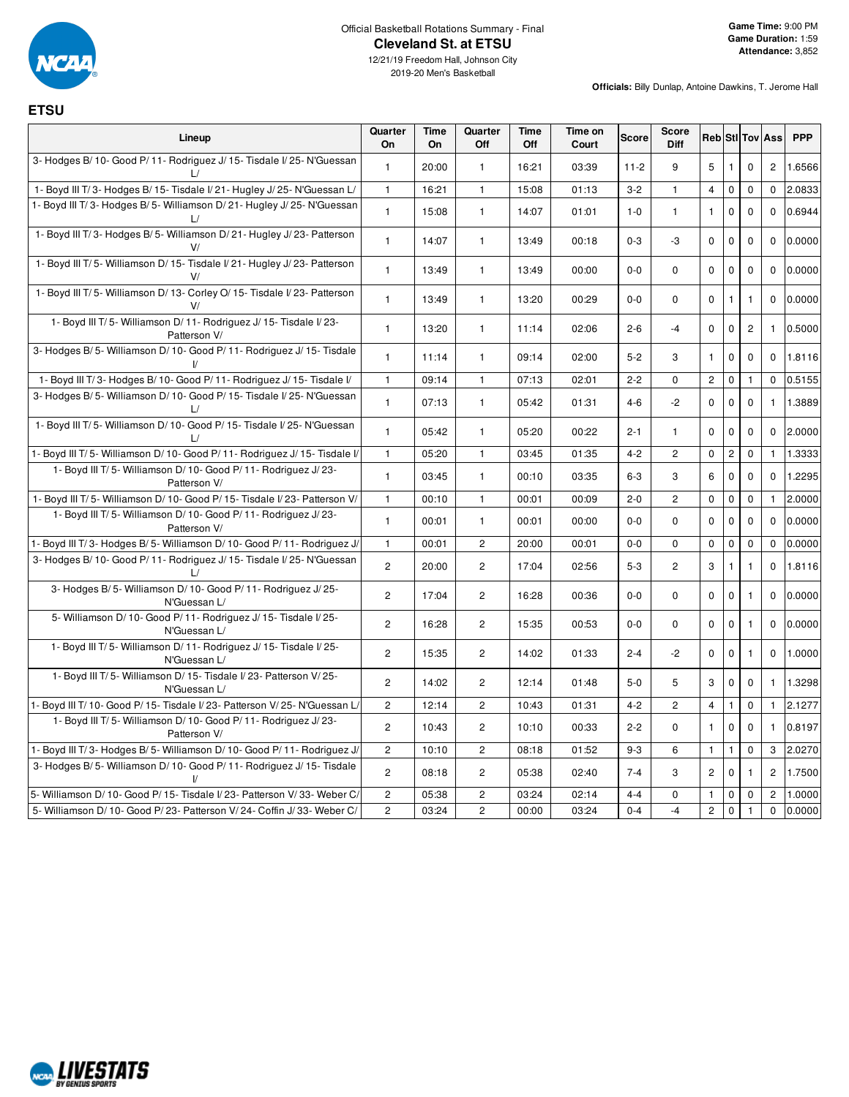

## Official Basketball Rotations Summary - Final **Cleveland St. at ETSU**

**Officials:** Billy Dunlap, Antoine Dawkins, T. Jerome Hall

**ETSU**

| Lineup                                                                                  | Quarter<br>On  | Time<br>On | Quarter<br>Off        | Time<br>Off | Time on<br>Court | Score    | Score<br>Diff  |                |                |                | <b>Reb</b> StI Tov Ass | <b>PPP</b> |
|-----------------------------------------------------------------------------------------|----------------|------------|-----------------------|-------------|------------------|----------|----------------|----------------|----------------|----------------|------------------------|------------|
| 3- Hodges B/ 10- Good P/ 11- Rodriguez J/ 15- Tisdale I/ 25- N'Guessan                  | 1              | 20:00      | $\mathbf{1}$          | 16:21       | 03:39            | $11 - 2$ | 9              | 5              | 1              | $\Omega$       | $\overline{c}$         | 1.6566     |
| 1- Boyd III T/3- Hodges B/15- Tisdale I/21- Hugley J/25- N'Guessan L/                   | $\mathbf{1}$   | 16:21      | $\mathbf{1}$          | 15:08       | 01:13            | $3 - 2$  | $\mathbf{1}$   | $\overline{4}$ | $\mathsf 0$    | 0              | $\mathbf 0$            | 2.0833     |
| 1- Boyd III T/3- Hodges B/5- Williamson D/21- Hugley J/25- N'Guessan                    | $\mathbf{1}$   | 15:08      | $\mathbf{1}$          | 14:07       | 01:01            | $1 - 0$  | $\mathbf{1}$   | $\mathbf{1}$   | $\mathbf 0$    | $\mathbf 0$    | $\mathbf{0}$           | 0.6944     |
| 1- Boyd III T/3- Hodges B/5- Williamson D/21- Hugley J/23- Patterson                    | $\mathbf{1}$   | 14:07      | $\mathbf{1}$          | 13:49       | 00:18            | $0 - 3$  | -3             | $\mathbf 0$    | $\pmb{0}$      | 0              | $\mathbf 0$            | 0.0000     |
| 1- Boyd III T/5- Williamson D/15- Tisdale I/21- Hugley J/23- Patterson<br>V/            | $\mathbf{1}$   | 13:49      | $\mathbf{1}$          | 13:49       | 00:00            | $0-0$    | 0              | 0              | $\pmb{0}$      | $\mathbf 0$    | $\mathbf 0$            | 0.0000     |
| 1- Boyd III T/5- Williamson D/13- Corley O/15- Tisdale I/23- Patterson                  | $\mathbf{1}$   | 13:49      | $\mathbf{1}$          | 13:20       | 00:29            | $0-0$    | 0              | $\mathsf 0$    | $\mathbf{1}$   | $\mathbf{1}$   | $\Omega$               | 0.0000     |
| 1- Boyd III T/5- Williamson D/11- Rodriguez J/15- Tisdale I/23-<br>Patterson V/         | 1              | 13:20      | $\mathbf{1}$          | 11:14       | 02:06            | $2 - 6$  | $-4$           | 0              | $\mathbf 0$    | $\overline{c}$ | $\mathbf{1}$           | 0.5000     |
| 3- Hodges B/5- Williamson D/10- Good P/11- Rodriguez J/15- Tisdale                      | $\mathbf{1}$   | 11:14      | $\mathbf{1}$          | 09:14       | 02:00            | $5 - 2$  | 3              | $\mathbf{1}$   | $\mathbf 0$    | 0              | $\Omega$               | 1.8116     |
| 1- Boyd III T/3- Hodges B/10- Good P/11- Rodriguez J/15- Tisdale I/                     | $\mathbf{1}$   | 09:14      | $\mathbf{1}$          | 07:13       | 02:01            | $2 - 2$  | 0              | $\overline{c}$ | $\mathbf 0$    | $\mathbf{1}$   | $\mathbf 0$            | 0.5155     |
| 3- Hodges B/5- Williamson D/10- Good P/15- Tisdale I/25- N'Guessan<br>$\mathsf{L}/$     | 1              | 07:13      | $\mathbf{1}$          | 05:42       | 01:31            | $4 - 6$  | $-2$           | 0              | $\mathbf 0$    | 0              | $\mathbf{1}$           | 1.3889     |
| 1- Boyd III T/5- Williamson D/10- Good P/15- Tisdale I/25- N'Guessan                    | 1              | 05:42      | $\mathbf{1}$          | 05:20       | 00:22            | $2 - 1$  | $\mathbf{1}$   | 0              | $\mathbf 0$    | 0              | $\mathbf 0$            | 2.0000     |
| 1- Boyd III T/5- Williamson D/10- Good P/11- Rodriguez J/15- Tisdale I/                 | $\mathbf{1}$   | 05:20      | $\mathbf{1}$          | 03:45       | 01:35            | $4 - 2$  | $\overline{c}$ | $\mathbf 0$    | $\overline{c}$ | 0              | $\mathbf{1}$           | 1.3333     |
| 1- Boyd III T/5- Williamson D/10- Good P/11- Rodriguez J/23-<br>Patterson V/            | $\mathbf{1}$   | 03:45      | $\mathbf{1}$          | 00:10       | 03:35            | $6 - 3$  | 3              | 6              | $\mathbf 0$    | 0              | $\mathbf 0$            | 1.2295     |
| 1- Boyd III T/5- Williamson D/10- Good P/15- Tisdale I/23- Patterson V/                 | $\mathbf{1}$   | 00:10      | 1                     | 00:01       | 00:09            | $2 - 0$  | $\overline{c}$ | 0              | $\pmb{0}$      | 0              | $\mathbf{1}$           | 2.0000     |
| 1- Boyd III T/5- Williamson D/10- Good P/11- Rodriguez J/23-<br>Patterson V/            | $\mathbf{1}$   | 00:01      | $\mathbf{1}$          | 00:01       | 00:00            | $0-0$    | $\mathbf 0$    | $\mathbf 0$    | $\mathbf 0$    | $\mathbf 0$    | $\mathbf 0$            | 0.0000     |
| 1- Boyd III T/3- Hodges B/5- Williamson D/10- Good P/11- Rodriguez J/                   | $\mathbf{1}$   | 00:01      | $\overline{c}$        | 20:00       | 00:01            | $0 - 0$  | 0              | $\mathbf 0$    | $\mathbf 0$    | 0              | $\mathbf 0$            | 0.0000     |
| 3- Hodges B/ 10- Good P/ 11- Rodriguez J/ 15- Tisdale I/ 25- N'Guessan<br>$\frac{1}{2}$ | $\overline{2}$ | 20:00      | $\overline{2}$        | 17:04       | 02:56            | $5-3$    | $\overline{2}$ | 3              | $\mathbf{1}$   | $\mathbf{1}$   | $\Omega$               | 1.8116     |
| 3- Hodges B/5- Williamson D/10- Good P/11- Rodriguez J/25-<br>N'Guessan L/              | $\overline{2}$ | 17:04      | $\overline{2}$        | 16:28       | 00:36            | $0-0$    | $\mathbf 0$    | $\mathbf 0$    | $\mathbf 0$    | $\mathbf{1}$   | $\Omega$               | 0.0000     |
| 5- Williamson D/ 10- Good P/ 11- Rodriguez J/ 15- Tisdale I/ 25-<br>N'Guessan L/        | $\overline{c}$ | 16:28      | $\overline{2}$        | 15:35       | 00:53            | $0-0$    | 0              | $\mathbf 0$    | $\mathbf 0$    | $\mathbf{1}$   | $\mathbf{0}$           | 0.0000     |
| 1- Boyd III T/5- Williamson D/11- Rodriguez J/15- Tisdale I/25-<br>N'Guessan L/         | $\overline{2}$ | 15:35      | $\overline{c}$        | 14:02       | 01:33            | $2 - 4$  | $-2$           | $\mathbf 0$    | $\mathbf 0$    | 1              | $\mathbf 0$            | 1.0000     |
| 1- Boyd III T/5- Williamson D/15- Tisdale I/23- Patterson V/25-<br>N'Guessan L/         | $\mathbf{2}$   | 14:02      | $\overline{c}$        | 12:14       | 01:48            | $5-0$    | 5              | 3              | $\mathbf 0$    | $\mathbf 0$    | $\mathbf{1}$           | 1.3298     |
| 1- Boyd III T/ 10- Good P/ 15- Tisdale I/ 23- Patterson V/ 25- N'Guessan L/             | $\overline{c}$ | 12:14      | $\overline{2}$        | 10:43       | 01:31            | $4 - 2$  | $\overline{c}$ | $\overline{4}$ | $\mathbf{1}$   | 0              | $\mathbf{1}$           | 2.1277     |
| 1- Boyd III T/5- Williamson D/10- Good P/11- Rodriguez J/23-<br>Patterson V/            | $\overline{c}$ | 10:43      | $\overline{c}$        | 10:10       | 00:33            | $2 - 2$  | 0              | $\mathbf{1}$   | $\mathbf{0}$   | $\mathbf 0$    | $\mathbf{1}$           | 0.8197     |
| 1- Boyd III T/3- Hodges B/5- Williamson D/10- Good P/11- Rodriguez J/                   | $\overline{c}$ | 10:10      | $\overline{2}$        | 08:18       | 01:52            | $9 - 3$  | 6              | $\mathbf{1}$   | $\mathbf{1}$   | 0              | 3                      | 2.0270     |
| 3- Hodges B/5- Williamson D/10- Good P/11- Rodriguez J/15- Tisdale                      | $\mathbf{2}$   | 08:18      | $\mathbf{2}^{\prime}$ | 05:38       | 02:40            | $7 - 4$  | 3              | $\overline{c}$ | $\mathbf 0$    | $\mathbf{1}$   | $\overline{c}$         | 1.7500     |
| 5- Williamson D/10- Good P/15- Tisdale I/23- Patterson V/33- Weber C/                   | $\overline{c}$ | 05:38      | $\overline{2}$        | 03:24       | 02:14            | $4 - 4$  | 0              | $\mathbf{1}$   | $\mathbf 0$    | $\pmb{0}$      | $\overline{c}$         | 1.0000     |
| 5- Williamson D/ 10- Good P/ 23- Patterson V/ 24- Coffin J/ 33- Weber C/                | $\overline{2}$ | 03:24      | $\overline{2}$        | 00:00       | 03:24            | $0 - 4$  | $-4$           | $\overline{c}$ | $\mathbf 0$    | $\mathbf{1}$   | $\mathbf 0$            | 0.0000     |

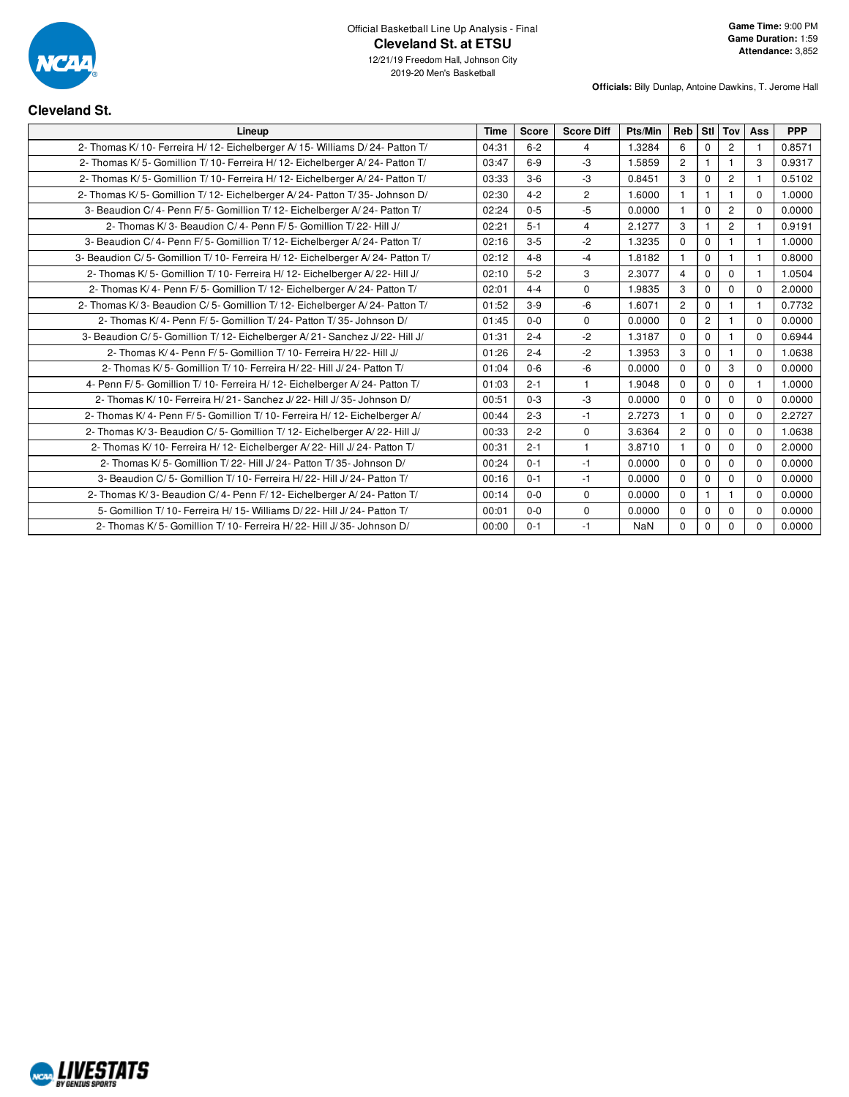

**Officials:** Billy Dunlap, Antoine Dawkins, T. Jerome Hall

## **Cleveland St.**

| Lineup                                                                         | <b>Time</b> | Score   | <b>Score Diff</b> | Pts/Min | Reb            | Stl            | Tov            | Ass          | <b>PPP</b> |
|--------------------------------------------------------------------------------|-------------|---------|-------------------|---------|----------------|----------------|----------------|--------------|------------|
| 2- Thomas K/ 10- Ferreira H/ 12- Eichelberger A/ 15- Williams D/ 24- Patton T/ | 04:31       | $6 - 2$ | $\overline{4}$    | 1.3284  | 6              | $\mathbf 0$    | 2              |              | 0.8571     |
| 2- Thomas K/5- Gomillion T/10- Ferreira H/12- Eichelberger A/24- Patton T/     | 03:47       | $6-9$   | $-3$              | 1.5859  | $\overline{2}$ |                |                | 3            | 0.9317     |
| 2- Thomas K/5- Gomillion T/10- Ferreira H/12- Eichelberger A/24- Patton T/     | 03:33       | $3-6$   | $-3$              | 0.8451  | 3              | $\Omega$       | 2              |              | 0.5102     |
| 2- Thomas K/5- Gomillion T/12- Eichelberger A/24- Patton T/35- Johnson D/      | 02:30       | $4 - 2$ | $\overline{2}$    | 1.6000  | 1              | $\mathbf{1}$   | $\mathbf{1}$   | $\Omega$     | 1.0000     |
| 3- Beaudion C/4- Penn F/5- Gomillion T/12- Eichelberger A/24- Patton T/        | 02:24       | $0 - 5$ | $-5$              | 0.0000  | $\overline{1}$ | $\mathbf 0$    | $\overline{2}$ | $\Omega$     | 0.0000     |
| 2- Thomas K/3- Beaudion C/4- Penn F/5- Gomillion T/22- Hill J/                 | 02:21       | $5 - 1$ | $\overline{4}$    | 2.1277  | $\mathbf{3}$   |                | $\overline{2}$ |              | 0.9191     |
| 3- Beaudion C/4- Penn F/5- Gomillion T/12- Eichelberger A/24- Patton T/        | 02:16       | $3-5$   | $-2$              | 1.3235  | $\Omega$       | $\mathbf 0$    |                | $\mathbf{1}$ | 1.0000     |
| 3- Beaudion C/5- Gomillion T/10- Ferreira H/12- Eichelberger A/24- Patton T/   | 02:12       | $4 - 8$ | $-4$              | 1.8182  | $\mathbf{1}$   | $\Omega$       | $\mathbf{1}$   | $\mathbf{1}$ | 0.8000     |
| 2- Thomas K/5- Gomillion T/10- Ferreira H/12- Eichelberger A/22- Hill J/       | 02:10       | $5 - 2$ | 3                 | 2.3077  | $\overline{4}$ | $\Omega$       | $\Omega$       |              | 1.0504     |
| 2- Thomas K/4- Penn F/5- Gomillion T/12- Eichelberger A/24- Patton T/          | 02:01       | $4 - 4$ | $\mathbf 0$       | 1.9835  | 3              | $\mathbf 0$    | $\mathbf 0$    | $\Omega$     | 2.0000     |
| 2- Thomas K/3- Beaudion C/5- Gomillion T/12- Eichelberger A/24- Patton T/      | 01:52       | $3-9$   | $-6$              | 1.6071  | $\overline{2}$ | $\mathbf 0$    |                |              | 0.7732     |
| 2- Thomas K/ 4- Penn F/ 5- Gomillion T/ 24- Patton T/ 35- Johnson D/           | 01:45       | $0 - 0$ | $\Omega$          | 0.0000  | $\Omega$       | $\overline{2}$ | $\mathbf{1}$   | $\Omega$     | 0.0000     |
| 3- Beaudion C/5- Gomillion T/12- Eichelberger A/21- Sanchez J/22- Hill J/      | 01:31       | $2 - 4$ | $-2$              | 1.3187  | $\mathbf 0$    | $\mathbf 0$    | $\mathbf{1}$   | $\Omega$     | 0.6944     |
| 2- Thomas K/4- Penn F/5- Gomillion T/10- Ferreira H/22- Hill J/                | 01:26       | $2 - 4$ | $-2$              | 1.3953  | 3              | $\Omega$       | $\mathbf{1}$   | $\Omega$     | 1.0638     |
| 2- Thomas K/ 5- Gomillion T/ 10- Ferreira H/ 22- Hill J/ 24- Patton T/         | 01:04       | $0-6$   | $-6$              | 0.0000  | $\mathbf 0$    | $\mathbf 0$    | 3              | $\Omega$     | 0.0000     |
| 4- Penn F/5- Gomillion T/10- Ferreira H/12- Eichelberger A/24- Patton T/       | 01:03       | $2 - 1$ | $\mathbf{1}$      | 1.9048  | $\Omega$       | $\mathbf 0$    | $\Omega$       |              | 1.0000     |
| 2- Thomas K/ 10- Ferreira H/ 21- Sanchez J/ 22- Hill J/ 35- Johnson D/         | 00:51       | $0 - 3$ | $-3$              | 0.0000  | $\Omega$       | $\Omega$       | $\Omega$       | $\Omega$     | 0.0000     |
| 2- Thomas K/4- Penn F/5- Gomillion T/10- Ferreira H/12- Eichelberger A/        | 00:44       | $2 - 3$ | $-1$              | 2.7273  | 1              | $\Omega$       | $\mathbf 0$    | $\Omega$     | 2.2727     |
| 2- Thomas K/3- Beaudion C/5- Gomillion T/12- Eichelberger A/22- Hill J/        | 00:33       | $2 - 2$ | $\mathbf 0$       | 3.6364  | $\mathbf{2}$   | $\mathbf 0$    | $\mathbf 0$    | $\Omega$     | 1.0638     |
| 2- Thomas K/ 10- Ferreira H/ 12- Eichelberger A/ 22- Hill J/ 24- Patton T/     | 00:31       | $2 - 1$ | $\overline{1}$    | 3.8710  | $\mathbf 1$    | $\Omega$       | $\mathbf 0$    | $\Omega$     | 2.0000     |
| 2- Thomas K/ 5- Gomillion T/ 22- Hill J/ 24- Patton T/ 35- Johnson D/          | 00:24       | $0 - 1$ | $-1$              | 0.0000  | $\Omega$       | $\mathbf 0$    | $\mathbf 0$    | $\Omega$     | 0.0000     |
| 3- Beaudion C/5- Gomillion T/10- Ferreira H/22- Hill J/24- Patton T/           | 00:16       | $0 - 1$ | $-1$              | 0.0000  | $\mathbf 0$    | $\mathbf 0$    | $\mathbf 0$    | $\Omega$     | 0.0000     |
| 2- Thomas K/3- Beaudion C/4- Penn F/12- Eichelberger A/24- Patton T/           | 00:14       | $0 - 0$ | $\Omega$          | 0.0000  | $\Omega$       |                | 1              | $\Omega$     | 0.0000     |
| 5- Gomillion T/ 10- Ferreira H/ 15- Williams D/ 22- Hill J/ 24- Patton T/      | 00:01       | $0 - 0$ | $\Omega$          | 0.0000  | $\Omega$       | $\mathbf 0$    | $\mathbf 0$    | $\Omega$     | 0.0000     |
| 2- Thomas K/5- Gomillion T/10- Ferreira H/22- Hill J/35- Johnson D/            | 00:00       | $0 - 1$ | -1                | NaN     | 0              | 0              | 0              | 0            | 0.0000     |